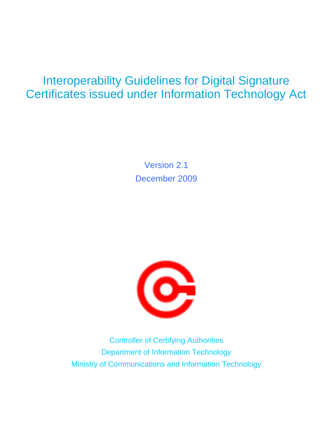### Interoperability Guidelines for Digital Signature Certificates issued under Information Technology Act

Version 2.1 December 2009



Controller of Certifying Authorities Department of Information Technology Ministry of Communications and Information Technology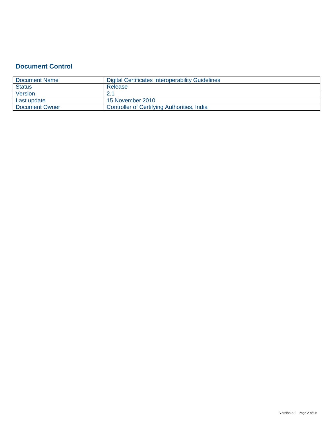### **Document Control**

| Document Name         | Digital Certificates Interoperability Guidelines |
|-----------------------|--------------------------------------------------|
| <b>Status</b>         | Release                                          |
| Version               |                                                  |
| Last update           | 15 November 2010                                 |
| <b>Document Owner</b> | Controller of Certifying Authorities, India      |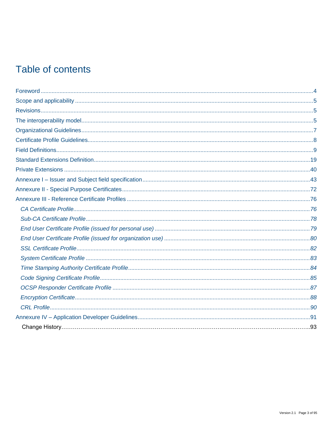### Table of contents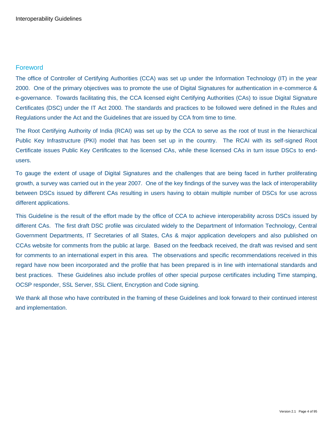### <span id="page-3-0"></span>Foreword

The office of Controller of Certifying Authorities (CCA) was set up under the Information Technology (IT) in the year 2000. One of the primary objectives was to promote the use of Digital Signatures for authentication in e-commerce & e-governance. Towards facilitating this, the CCA licensed eight Certifying Authorities (CAs) to issue Digital Signature Certificates (DSC) under the IT Act 2000. The standards and practices to be followed were defined in the Rules and Regulations under the Act and the Guidelines that are issued by CCA from time to time.

The Root Certifying Authority of India (RCAI) was set up by the CCA to serve as the root of trust in the hierarchical Public Key Infrastructure (PKI) model that has been set up in the country. The RCAI with its self-signed Root Certificate issues Public Key Certificates to the licensed CAs, while these licensed CAs in turn issue DSCs to endusers.

To gauge the extent of usage of Digital Signatures and the challenges that are being faced in further proliferating growth, a survey was carried out in the year 2007. One of the key findings of the survey was the lack of interoperability between DSCs issued by different CAs resulting in users having to obtain multiple number of DSCs for use across different applications.

This Guideline is the result of the effort made by the office of CCA to achieve interoperability across DSCs issued by different CAs. The first draft DSC profile was circulated widely to the Department of Information Technology, Central Government Departments, IT Secretaries of all States, CAs & major application developers and also published on CCAs website for comments from the public at large. Based on the feedback received, the draft was revised and sent for comments to an international expert in this area. The observations and specific recommendations received in this regard have now been incorporated and the profile that has been prepared is in line with international standards and best practices. These Guidelines also include profiles of other special purpose certificates including Time stamping, OCSP responder, SSL Server, SSL Client, Encryption and Code signing.

We thank all those who have contributed in the framing of these Guidelines and look forward to their continued interest and implementation.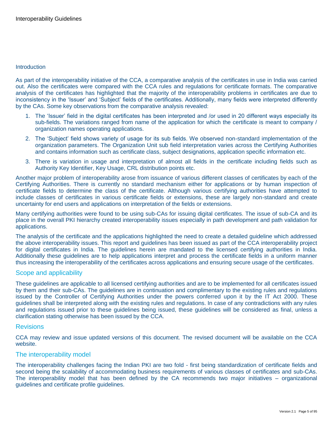#### **Introduction**

As part of the interoperability initiative of the CCA, a comparative analysis of the certificates in use in India was carried out. Also the certificates were compared with the CCA rules and regulations for certificate formats. The comparative analysis of the certificates has highlighted that the majority of the interoperability problems in certificates are due to inconsistency in the "Issuer" and "Subject" fields of the certificates. Additionally, many fields were interpreted differently by the CAs. Some key observations from the comparative analysis revealed:

- 1. The "Issuer" field in the digital certificates has been interpreted and /or used in 20 different ways especially its sub-fields. The variations ranged from name of the application for which the certificate is meant to company / organization names operating applications.
- 2. The "Subject" field shows variety of usage for its sub fields. We observed non-standard implementation of the organization parameters. The Organization Unit sub field interpretation varies across the Certifying Authorities and contains information such as certificate class, subject designations, application specific information etc.
- 3. There is variation in usage and interpretation of almost all fields in the certificate including fields such as Authority Key Identifier, Key Usage, CRL distribution points etc.

Another major problem of interoperability arose from issuance of various different classes of certificates by each of the Certifying Authorities. There is currently no standard mechanism either for applications or by human inspection of certificate fields to determine the class of the certificate. Although various certifying authorities have attempted to include classes of certificates in various certificate fields or extensions, these are largely non-standard and create uncertainty for end users and applications on interpretation of the fields or extensions.

Many certifying authorities were found to be using sub-CAs for issuing digital certificates. The issue of sub-CA and its place in the overall PKI hierarchy created interoperability issues especially in path development and path validation for applications.

The analysis of the certificate and the applications highlighted the need to create a detailed guideline which addressed the above interoperability issues. This report and guidelines has been issued as part of the CCA interoperability project for digital certificates in India. The guidelines herein are mandated to the licensed certifying authorities in India. Additionally these guidelines are to help applications interpret and process the certificate fields in a uniform manner thus increasing the interoperability of the certificates across applications and ensuring secure usage of the certificates.

#### <span id="page-4-0"></span>Scope and applicability

These guidelines are applicable to all licensed certifying authorities and are to be implemented for all certificates issued by them and their sub-CAs. The guidelines are in continuation and complimentary to the existing rules and regulations issued by the Controller of Certifying Authorities under the powers conferred upon it by the IT Act 2000. These guidelines shall be interpreted along with the existing rules and regulations. In case of any contradictions with any rules and regulations issued prior to these guidelines being issued, these guidelines will be considered as final, unless a clarification stating otherwise has been issued by the CCA.

#### <span id="page-4-1"></span>Revisions

CCA may review and issue updated versions of this document. The revised document will be available on the CCA website.

#### <span id="page-4-2"></span>The interoperability model

The interoperability challenges facing the Indian PKI are two fold - first being standardization of certificate fields and second being the scalability of accommodating business requirements of various classes of certificates and sub-CAs. The interoperability model that has been defined by the CA recommends two major initiatives – organizational guidelines and certificate profile guidelines.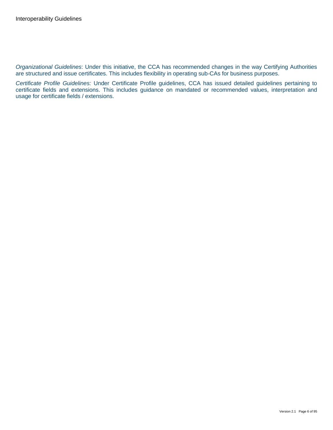*Organizational Guidelines*: Under this initiative, the CCA has recommended changes in the way Certifying Authorities are structured and issue certificates. This includes flexibility in operating sub-CAs for business purposes.

*Certificate Profile Guidelines:* Under Certificate Profile guidelines, CCA has issued detailed guidelines pertaining to certificate fields and extensions. This includes guidance on mandated or recommended values, interpretation and usage for certificate fields / extensions.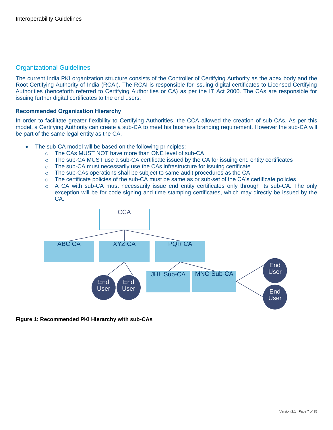### <span id="page-6-0"></span>Organizational Guidelines

The current India PKI organization structure consists of the Controller of Certifying Authority as the apex body and the Root Certifying Authority of India (RCAI). The RCAI is responsible for issuing digital certificates to Licensed Certifying Authorities (henceforth referred to Certifying Authorities or CA) as per the IT Act 2000. The CAs are responsible for issuing further digital certificates to the end users.

#### **Recommended Organization Hierarchy**

In order to facilitate greater flexibility to Certifying Authorities, the CCA allowed the creation of sub-CAs. As per this model, a Certifying Authority can create a sub-CA to meet his business branding requirement. However the sub-CA will be part of the same legal entity as the CA.

- The sub-CA model will be based on the following principles:
	- o The CAs MUST NOT have more than ONE level of sub-CA
	- $\circ$  The sub-CA MUST use a sub-CA certificate issued by the CA for issuing end entity certificates
	- $\circ$  The sub-CA must necessarily use the CAs infrastructure for issuing certificate
	- $\circ$  The sub-CAs operations shall be subject to same audit procedures as the CA
	- $\circ$  The certificate policies of the sub-CA must be same as or sub-set of the CA's certificate policies
	- o A CA with sub-CA must necessarily issue end entity certificates only through its sub-CA. The only exception will be for code signing and time stamping certificates, which may directly be issued by the CA.



#### **Figure 1: Recommended PKI Hierarchy with sub-CAs**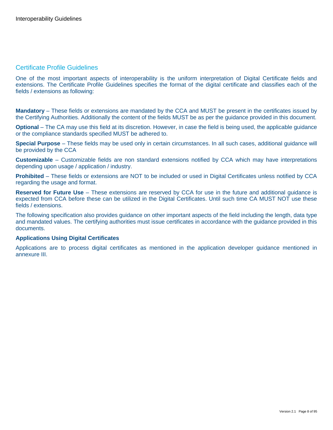### <span id="page-7-0"></span>Certificate Profile Guidelines

One of the most important aspects of interoperability is the uniform interpretation of Digital Certificate fields and extensions. The Certificate Profile Guidelines specifies the format of the digital certificate and classifies each of the fields / extensions as following:

**Mandatory** – These fields or extensions are mandated by the CCA and MUST be present in the certificates issued by the Certifying Authorities. Additionally the content of the fields MUST be as per the guidance provided in this document.

**Optional** – The CA may use this field at its discretion. However, in case the field is being used, the applicable guidance or the compliance standards specified MUST be adhered to.

**Special Purpose** – These fields may be used only in certain circumstances. In all such cases, additional guidance will be provided by the CCA

**Customizable** – Customizable fields are non standard extensions notified by CCA which may have interpretations depending upon usage / application / industry.

**Prohibited** – These fields or extensions are NOT to be included or used in Digital Certificates unless notified by CCA regarding the usage and format.

**Reserved for Future Use** – These extensions are reserved by CCA for use in the future and additional guidance is expected from CCA before these can be utilized in the Digital Certificates. Until such time CA MUST NOT use these fields / extensions.

The following specification also provides guidance on other important aspects of the field including the length, data type and mandated values. The certifying authorities must issue certificates in accordance with the guidance provided in this documents.

#### **Applications Using Digital Certificates**

Applications are to process digital certificates as mentioned in the application developer guidance mentioned in annexure III.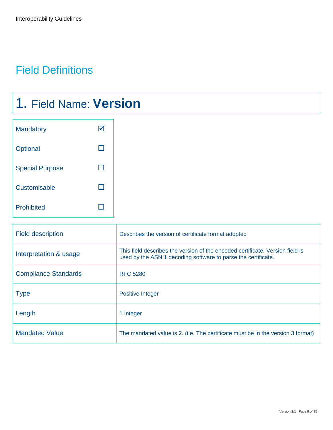### <span id="page-8-0"></span>Field Definitions

## 1. Field Name: **Version**

| <b>Mandatory</b>       |  |
|------------------------|--|
| Optional               |  |
| <b>Special Purpose</b> |  |
| Customisable           |  |
| <b>Prohibited</b>      |  |

| <b>Field description</b>    | Describes the version of certificate format adopted                                                                                            |
|-----------------------------|------------------------------------------------------------------------------------------------------------------------------------------------|
| Interpretation & usage      | This field describes the version of the encoded certificate. Version field is<br>used by the ASN.1 decoding software to parse the certificate. |
| <b>Compliance Standards</b> | <b>RFC 5280</b>                                                                                                                                |
| <b>Type</b>                 | <b>Positive Integer</b>                                                                                                                        |
| Length                      | 1 Integer                                                                                                                                      |
| <b>Mandated Value</b>       | The mandated value is 2. (i.e. The certificate must be in the version 3 format)                                                                |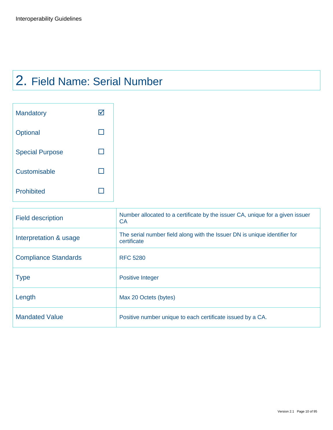### 2. Field Name: Serial Number

| <b>Mandatory</b>       |  |
|------------------------|--|
| Optional               |  |
| <b>Special Purpose</b> |  |
| Customisable           |  |
| <b>Prohibited</b>      |  |

| <b>Field description</b>    | Number allocated to a certificate by the issuer CA, unique for a given issuer<br>CA.     |
|-----------------------------|------------------------------------------------------------------------------------------|
| Interpretation & usage      | The serial number field along with the Issuer DN is unique identifier for<br>certificate |
| <b>Compliance Standards</b> | <b>RFC 5280</b>                                                                          |
| <b>Type</b>                 | <b>Positive Integer</b>                                                                  |
| Length                      | Max 20 Octets (bytes)                                                                    |
| <b>Mandated Value</b>       | Positive number unique to each certificate issued by a CA.                               |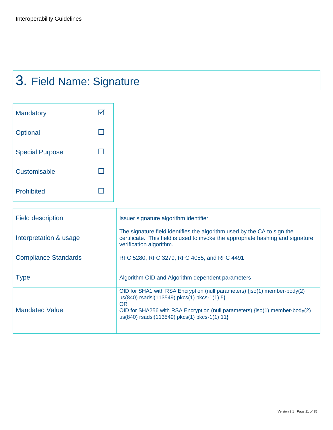# 3. Field Name: Signature

| <b>Mandatory</b>       |  |
|------------------------|--|
| Optional               |  |
| <b>Special Purpose</b> |  |
| Customisable           |  |
| <b>Prohibited</b>      |  |

| <b>Field description</b>    | Issuer signature algorithm identifier                                                                                                                                                                                                                                   |
|-----------------------------|-------------------------------------------------------------------------------------------------------------------------------------------------------------------------------------------------------------------------------------------------------------------------|
| Interpretation & usage      | The signature field identifies the algorithm used by the CA to sign the<br>certificate. This field is used to invoke the appropriate hashing and signature<br>verification algorithm.                                                                                   |
| <b>Compliance Standards</b> | RFC 5280, RFC 3279, RFC 4055, and RFC 4491                                                                                                                                                                                                                              |
| <b>Type</b>                 | Algorithm OID and Algorithm dependent parameters                                                                                                                                                                                                                        |
| <b>Mandated Value</b>       | OID for SHA1 with RSA Encryption (null parameters) $\{iso(1)$ member-body(2)<br>us(840) rsadsi(113549) pkcs(1) pkcs-1(1) 5}<br><b>OR</b><br>OID for SHA256 with RSA Encryption (null parameters) {iso(1) member-body(2)<br>us(840) rsadsi(113549) pkcs(1) pkcs-1(1) 11} |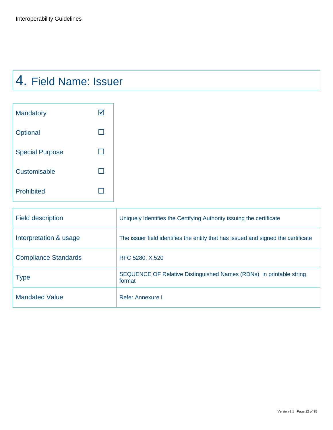### 4. Field Name: Issuer

| Mandatory              |  |
|------------------------|--|
| Optional               |  |
| <b>Special Purpose</b> |  |
| Customisable           |  |
| <b>Prohibited</b>      |  |

| <b>Field description</b>    | Uniquely Identifies the Certifying Authority issuing the certificate              |
|-----------------------------|-----------------------------------------------------------------------------------|
| Interpretation & usage      | The issuer field identifies the entity that has issued and signed the certificate |
| <b>Compliance Standards</b> | RFC 5280, X.520                                                                   |
| <b>Type</b>                 | SEQUENCE OF Relative Distinguished Names (RDNs) in printable string<br>format     |
| <b>Mandated Value</b>       | Refer Annexure I                                                                  |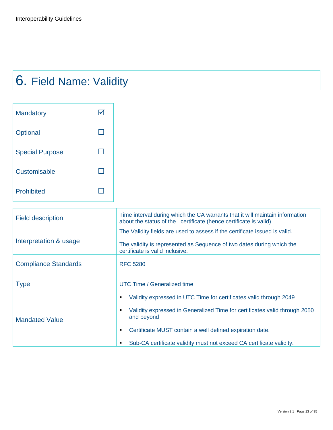# 6. Field Name: Validity

| <b>Mandatory</b>       |  |
|------------------------|--|
| Optional               |  |
| <b>Special Purpose</b> |  |
| Customisable           |  |
| <b>Prohibited</b>      |  |

| <b>Field description</b>    | Time interval during which the CA warrants that it will maintain information<br>about the status of the certificate (hence certificate is valid)                                                                                                                                                                       |
|-----------------------------|------------------------------------------------------------------------------------------------------------------------------------------------------------------------------------------------------------------------------------------------------------------------------------------------------------------------|
| Interpretation & usage      | The Validity fields are used to assess if the certificate issued is valid.<br>The validity is represented as Sequence of two dates during which the<br>certificate is valid inclusive.                                                                                                                                 |
| <b>Compliance Standards</b> | <b>RFC 5280</b>                                                                                                                                                                                                                                                                                                        |
| <b>Type</b>                 | UTC Time / Generalized time                                                                                                                                                                                                                                                                                            |
| <b>Mandated Value</b>       | Validity expressed in UTC Time for certificates valid through 2049<br>٠<br>Validity expressed in Generalized Time for certificates valid through 2050<br>٠<br>and beyond<br>Certificate MUST contain a well defined expiration date.<br>٠<br>Sub-CA certificate validity must not exceed CA certificate validity.<br>٠ |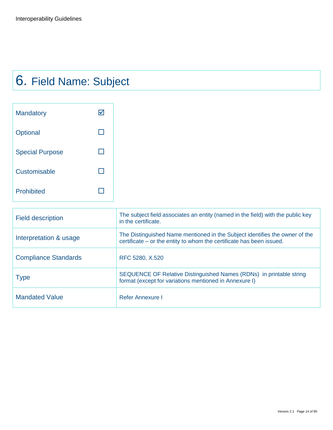# 6. Field Name: Subject

| <b>Mandatory</b>       |  |
|------------------------|--|
| Optional               |  |
| <b>Special Purpose</b> |  |
| Customisable           |  |
| <b>Prohibited</b>      |  |

| <b>Field description</b>    | The subject field associates an entity (named in the field) with the public key<br>in the certificate.                                              |
|-----------------------------|-----------------------------------------------------------------------------------------------------------------------------------------------------|
| Interpretation & usage      | The Distinguished Name mentioned in the Subject identifies the owner of the<br>certificate – or the entity to whom the certificate has been issued. |
| <b>Compliance Standards</b> | RFC 5280, X.520                                                                                                                                     |
| <b>Type</b>                 | SEQUENCE OF Relative Distinguished Names (RDNs) in printable string<br>format (except for variations mentioned in Annexure I)                       |
| <b>Mandated Value</b>       | Refer Annexure I                                                                                                                                    |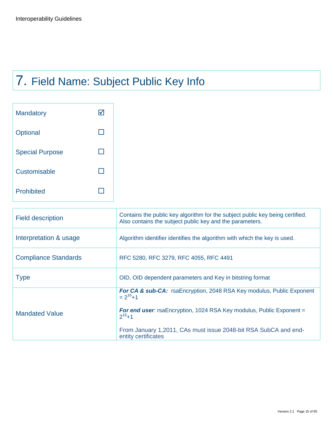# 7. Field Name: Subject Public Key Info

| <b>Mandatory</b>       |  |
|------------------------|--|
| Optional               |  |
| <b>Special Purpose</b> |  |
| Customisable           |  |
| <b>Prohibited</b>      |  |

| <b>Field description</b>    | Contains the public key algorithm for the subject public key being certified.<br>Also contains the subject public key and the parameters. |
|-----------------------------|-------------------------------------------------------------------------------------------------------------------------------------------|
| Interpretation & usage      | Algorithm identifier identifies the algorithm with which the key is used.                                                                 |
| <b>Compliance Standards</b> | RFC 5280, RFC 3279, RFC 4055, RFC 4491                                                                                                    |
| <b>Type</b>                 | OID, OID dependent parameters and Key in bitstring format                                                                                 |
|                             | For CA & sub-CA: rsaEncryption, 2048 RSA Key modulus, Public Exponent<br>$= 2^{16}+1$                                                     |
| <b>Mandated Value</b>       | For end user: rsaEncryption, 1024 RSA Key modulus, Public Exponent =<br>$2^{16}+1$                                                        |
|                             | From January 1,2011, CAs must issue 2048-bit RSA SubCA and end-<br>entity certificates                                                    |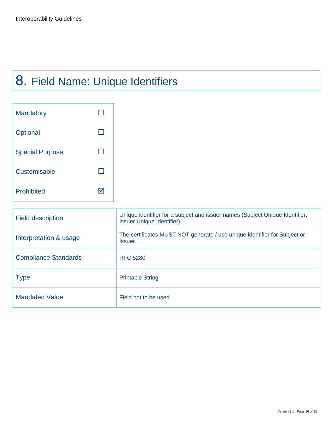## 8. Field Name: Unique Identifiers

| <b>Mandatory</b>       |  |
|------------------------|--|
| Optional               |  |
| <b>Special Purpose</b> |  |
| Customisable           |  |
| <b>Prohibited</b>      |  |

| <b>Field description</b>    | Unique identifier for a subject and issuer names (Subject Unique Identifier,<br><b>Issuer Unique Identifier)</b> |
|-----------------------------|------------------------------------------------------------------------------------------------------------------|
| Interpretation & usage      | The certificates MUST NOT generate / use unique identifier for Subject or<br>Issuer.                             |
| <b>Compliance Standards</b> | <b>RFC 5280</b>                                                                                                  |
| <b>Type</b>                 | <b>Printable String</b>                                                                                          |
| <b>Mandated Value</b>       | Field not to be used                                                                                             |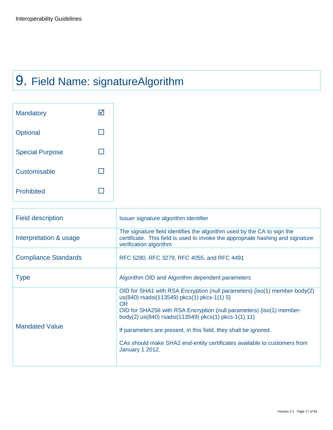## 9. Field Name: signatureAlgorithm

| <b>Mandatory</b>       |  |
|------------------------|--|
| Optional               |  |
| <b>Special Purpose</b> |  |
| Customisable           |  |
| Prohibited             |  |

| <b>Field description</b>    | Issuer signature algorithm identifier                                                                                                                                                                                                                                                                                                                                                                                                           |
|-----------------------------|-------------------------------------------------------------------------------------------------------------------------------------------------------------------------------------------------------------------------------------------------------------------------------------------------------------------------------------------------------------------------------------------------------------------------------------------------|
| Interpretation & usage      | The signature field identifies the algorithm used by the CA to sign the<br>certificate. This field is used to invoke the appropriate hashing and signature<br>verification algorithm                                                                                                                                                                                                                                                            |
| <b>Compliance Standards</b> | RFC 5280, RFC 3279, RFC 4055, and RFC 4491                                                                                                                                                                                                                                                                                                                                                                                                      |
| <b>Type</b>                 | Algorithm OID and Algorithm dependent parameters                                                                                                                                                                                                                                                                                                                                                                                                |
| <b>Mandated Value</b>       | OID for SHA1 with RSA Encryption (null parameters) {iso(1) member-body(2)<br>us(840) rsadsi(113549) pkcs(1) pkcs-1(1) 5}<br><b>OR</b><br>OID for SHA256 with RSA Encryption (null parameters) {iso(1) member-<br>body(2) us(840) rsadsi(113549) pkcs(1) pkcs-1(1) 11}<br>If parameters are present, in this field, they shall be ignored.<br>CAs should make SHA2 end-entity certificates available to customers from<br><b>January 1 2012.</b> |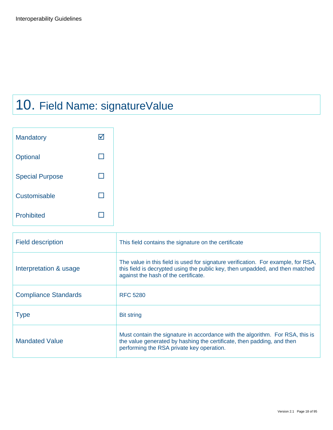## 10. Field Name: signatureValue

| <b>Mandatory</b>       |  |
|------------------------|--|
| Optional               |  |
| <b>Special Purpose</b> |  |
| Customisable           |  |
| <b>Prohibited</b>      |  |

| <b>Field description</b>    | This field contains the signature on the certificate                                                                                                                                                       |
|-----------------------------|------------------------------------------------------------------------------------------------------------------------------------------------------------------------------------------------------------|
| Interpretation & usage      | The value in this field is used for signature verification. For example, for RSA,<br>this field is decrypted using the public key, then unpadded, and then matched<br>against the hash of the certificate. |
| <b>Compliance Standards</b> | <b>RFC 5280</b>                                                                                                                                                                                            |
| <b>Type</b>                 | <b>Bit string</b>                                                                                                                                                                                          |
| <b>Mandated Value</b>       | Must contain the signature in accordance with the algorithm. For RSA, this is<br>the value generated by hashing the certificate, then padding, and then<br>performing the RSA private key operation.       |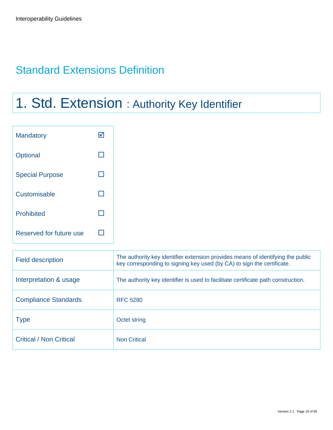### <span id="page-18-0"></span>Standard Extensions Definition

## 1. Std. Extension : Authority Key Identifier

| Mandatory               | $\blacktriangledown$ |
|-------------------------|----------------------|
| Optional                | $\Box$               |
| <b>Special Purpose</b>  | n.                   |
| Customisable            | $\Box$               |
| Prohibited              |                      |
| Reserved for future use | H                    |

| <b>Field description</b>       | The authority key identifier extension provides means of identifying the public<br>key corresponding to signing key used (by CA) to sign the certificate. |
|--------------------------------|-----------------------------------------------------------------------------------------------------------------------------------------------------------|
| Interpretation & usage         | The authority key identifier is used to facilitate certificate path construction.                                                                         |
| <b>Compliance Standards</b>    | <b>RFC 5280</b>                                                                                                                                           |
| <b>Type</b>                    | Octet string                                                                                                                                              |
| <b>Critical / Non Critical</b> | <b>Non Critical</b>                                                                                                                                       |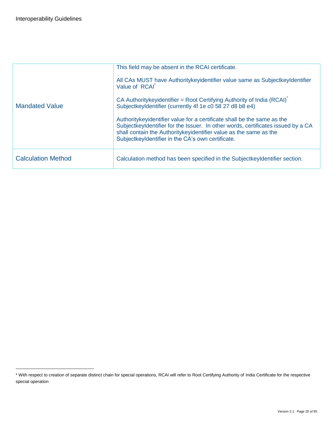$\overline{a}$ 

|                           | This field may be absent in the RCAI certificate.                                                                                                                                                                                                                                         |
|---------------------------|-------------------------------------------------------------------------------------------------------------------------------------------------------------------------------------------------------------------------------------------------------------------------------------------|
|                           | All CAs MUST have Authoritykeyidentifier value same as SubjectkeyIdentifier<br>Value of RCAI                                                                                                                                                                                              |
| <b>Mandated Value</b>     | CA Authoritykeyidentifier = Root Certifying Authority of India (RCAI)<br>SubjectkeyIdentifier (currently 4f 1e c0 58 27 d8 b8 e4)                                                                                                                                                         |
|                           | Authority key identifier value for a certificate shall be the same as the<br>SubjectkeyIdentifier for the Issuer. In other words, certificates issued by a CA<br>shall contain the Authority key identifier value as the same as the<br>SubjectkeyIdentifier in the CA's own certificate. |
| <b>Calculation Method</b> | Calculation method has been specified in the SubjectkeyIdentifier section.                                                                                                                                                                                                                |

<sup>\*</sup> With respect to creation of separate distinct chain for special operations, RCAI will refer to Root Certifying Authority of India Certificate for the respective special operation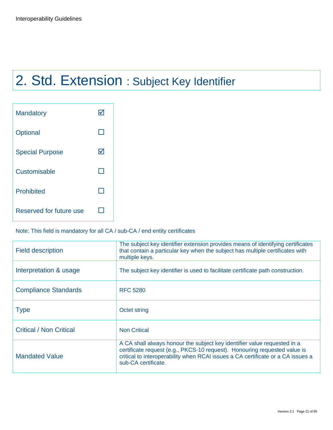## 2. Std. Extension : Subject Key Identifier

| <b>Mandatory</b>        |   |
|-------------------------|---|
| Optional                |   |
| <b>Special Purpose</b>  | M |
| Customisable            |   |
| <b>Prohibited</b>       |   |
| Reserved for future use |   |

### Note: This field is mandatory for all CA / sub-CA / end entity certificates

| <b>Field description</b>       | The subject key identifier extension provides means of identifying certificates<br>that contain a particular key when the subject has multiple certificates with<br>multiple keys.                                                                              |
|--------------------------------|-----------------------------------------------------------------------------------------------------------------------------------------------------------------------------------------------------------------------------------------------------------------|
| Interpretation & usage         | The subject key identifier is used to facilitate certificate path construction.                                                                                                                                                                                 |
| <b>Compliance Standards</b>    | <b>RFC 5280</b>                                                                                                                                                                                                                                                 |
| <b>Type</b>                    | Octet string                                                                                                                                                                                                                                                    |
| <b>Critical / Non Critical</b> | <b>Non Critical</b>                                                                                                                                                                                                                                             |
| <b>Mandated Value</b>          | A CA shall always honour the subject key identifier value requested in a<br>certificate request (e.g., PKCS-10 request). Honouring requested value is<br>critical to interoperability when RCAI issues a CA certificate or a CA issues a<br>sub-CA certificate. |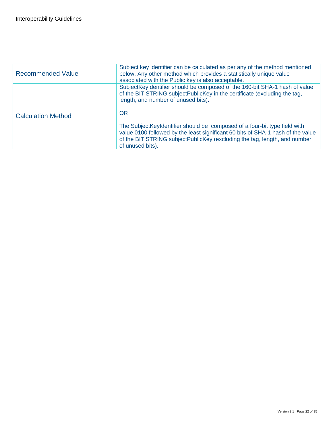| <b>Recommended Value</b>  | Subject key identifier can be calculated as per any of the method mentioned<br>below. Any other method which provides a statistically unique value<br>associated with the Public key is also acceptable.                                                       |
|---------------------------|----------------------------------------------------------------------------------------------------------------------------------------------------------------------------------------------------------------------------------------------------------------|
| <b>Calculation Method</b> | SubjectKeyIdentifier should be composed of the 160-bit SHA-1 hash of value<br>of the BIT STRING subjectPublicKey in the certificate (excluding the tag.<br>length, and number of unused bits).<br><b>OR</b>                                                    |
|                           | The Subject Keyldentifier should be composed of a four-bit type field with<br>value 0100 followed by the least significant 60 bits of SHA-1 hash of the value<br>of the BIT STRING subjectPublicKey (excluding the tag, length, and number<br>of unused bits). |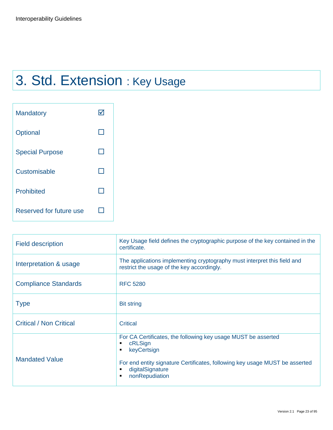## 3. Std. Extension : Key Usage

| <b>Mandatory</b>        |  |
|-------------------------|--|
| Optional                |  |
| <b>Special Purpose</b>  |  |
| Customisable            |  |
| <b>Prohibited</b>       |  |
| Reserved for future use |  |

| <b>Field description</b>       | Key Usage field defines the cryptographic purpose of the key contained in the<br>certificate.                                                                                                                                    |
|--------------------------------|----------------------------------------------------------------------------------------------------------------------------------------------------------------------------------------------------------------------------------|
| Interpretation & usage         | The applications implementing cryptography must interpret this field and<br>restrict the usage of the key accordingly.                                                                                                           |
| <b>Compliance Standards</b>    | <b>RFC 5280</b>                                                                                                                                                                                                                  |
| <b>Type</b>                    | <b>Bit string</b>                                                                                                                                                                                                                |
| <b>Critical / Non Critical</b> | Critical                                                                                                                                                                                                                         |
| <b>Mandated Value</b>          | For CA Certificates, the following key usage MUST be asserted<br>cRLSign<br>٠<br>keyCertsign<br>٠<br>For end entity signature Certificates, following key usage MUST be asserted<br>digitalSignature<br>п<br>nonRepudiation<br>٠ |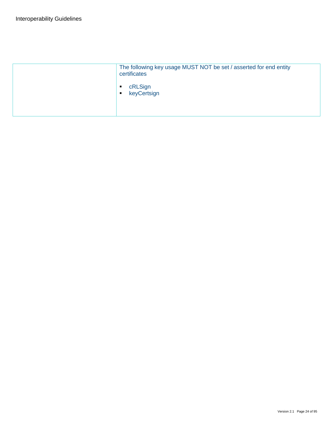| The following key usage MUST NOT be set / asserted for end entity<br>certificates |
|-----------------------------------------------------------------------------------|
| cRLSign<br>keyCertsign<br>$\blacksquare$                                          |
|                                                                                   |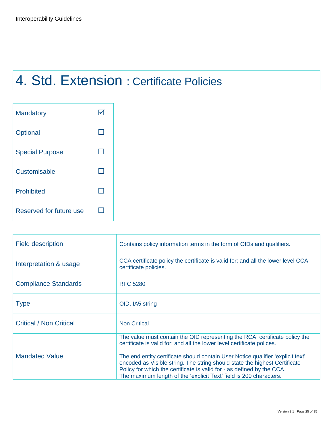## 4. Std. Extension : Certificate Policies

| <b>Mandatory</b>        |  |
|-------------------------|--|
| Optional                |  |
| <b>Special Purpose</b>  |  |
| Customisable            |  |
| <b>Prohibited</b>       |  |
| Reserved for future use |  |

| <b>Field description</b>       | Contains policy information terms in the form of OIDs and qualifiers.                                                                                                                                                                                                                                         |
|--------------------------------|---------------------------------------------------------------------------------------------------------------------------------------------------------------------------------------------------------------------------------------------------------------------------------------------------------------|
| Interpretation & usage         | CCA certificate policy the certificate is valid for; and all the lower level CCA<br>certificate policies.                                                                                                                                                                                                     |
| <b>Compliance Standards</b>    | <b>RFC 5280</b>                                                                                                                                                                                                                                                                                               |
| <b>Type</b>                    | OID, IA5 string                                                                                                                                                                                                                                                                                               |
| <b>Critical / Non Critical</b> | <b>Non Critical</b>                                                                                                                                                                                                                                                                                           |
|                                | The value must contain the OID representing the RCAI certificate policy the<br>certificate is valid for; and all the lower level certificate polices.                                                                                                                                                         |
| <b>Mandated Value</b>          | The end entity certificate should contain User Notice qualifier 'explicit text'<br>encoded as Visible string. The string should state the highest Certificate<br>Policy for which the certificate is valid for - as defined by the CCA.<br>The maximum length of the 'explicit Text' field is 200 characters. |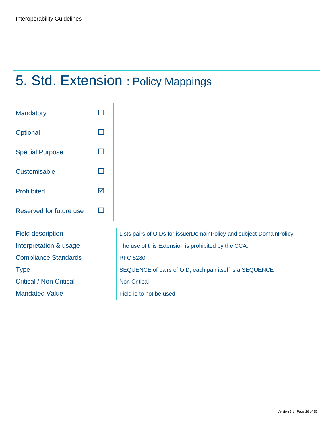## 5. Std. Extension : Policy Mappings

| <b>Mandatory</b>        |   |
|-------------------------|---|
| Optional                |   |
| <b>Special Purpose</b>  |   |
| Customisable            |   |
| <b>Prohibited</b>       | M |
| Reserved for future use |   |

| <b>Field description</b>       | Lists pairs of OIDs for issuerDomainPolicy and subject DomainPolicy |
|--------------------------------|---------------------------------------------------------------------|
| Interpretation & usage         | The use of this Extension is prohibited by the CCA.                 |
| <b>Compliance Standards</b>    | <b>RFC 5280</b>                                                     |
| <b>Type</b>                    | SEQUENCE of pairs of OID, each pair itself is a SEQUENCE            |
| <b>Critical / Non Critical</b> | <b>Non Critical</b>                                                 |
| <b>Mandated Value</b>          | Field is to not be used                                             |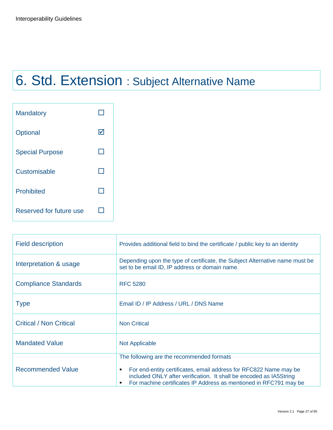# 6. Std. Extension : Subject Alternative Name

| <b>Mandatory</b>        |   |
|-------------------------|---|
| Optional                | M |
| <b>Special Purpose</b>  |   |
| Customisable            |   |
| <b>Prohibited</b>       |   |
| Reserved for future use |   |

| <b>Field description</b>       | Provides additional field to bind the certificate / public key to an identity                                                                                                                                                                                       |
|--------------------------------|---------------------------------------------------------------------------------------------------------------------------------------------------------------------------------------------------------------------------------------------------------------------|
| Interpretation & usage         | Depending upon the type of certificate, the Subject Alternative name must be<br>set to be email ID, IP address or domain name.                                                                                                                                      |
| <b>Compliance Standards</b>    | <b>RFC 5280</b>                                                                                                                                                                                                                                                     |
| <b>Type</b>                    | Email ID / IP Address / URL / DNS Name                                                                                                                                                                                                                              |
| <b>Critical / Non Critical</b> | <b>Non Critical</b>                                                                                                                                                                                                                                                 |
| <b>Mandated Value</b>          | Not Applicable                                                                                                                                                                                                                                                      |
| <b>Recommended Value</b>       | The following are the recommended formats<br>For end-entity certificates, email address for RFC822 Name may be<br>٠<br>included ONLY after verification. It shall be encoded as IA5String<br>For machine certificates IP Address as mentioned in RFC791 may be<br>٠ |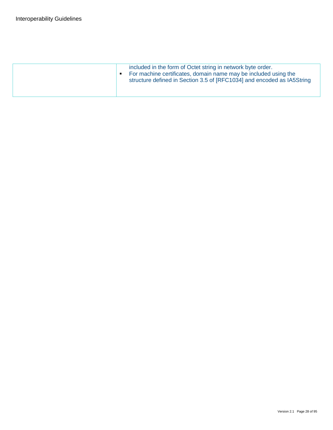| included in the form of Octet string in network byte order.<br>For machine certificates, domain name may be included using the<br>٠<br>structure defined in Section 3.5 of [RFC1034] and encoded as IA5String |
|---------------------------------------------------------------------------------------------------------------------------------------------------------------------------------------------------------------|
|                                                                                                                                                                                                               |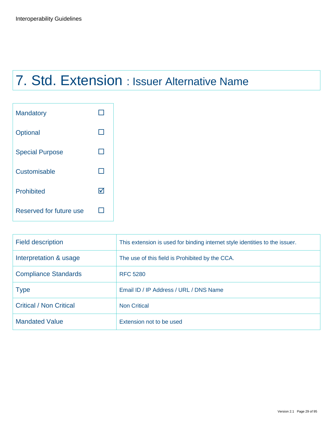## 7. Std. Extension : Issuer Alternative Name

| <b>Mandatory</b>        |    |
|-------------------------|----|
| Optional                |    |
| <b>Special Purpose</b>  |    |
| Customisable            |    |
| <b>Prohibited</b>       | IV |
| Reserved for future use |    |

| <b>Field description</b>       | This extension is used for binding internet style identities to the issuer. |
|--------------------------------|-----------------------------------------------------------------------------|
| Interpretation & usage         | The use of this field is Prohibited by the CCA.                             |
| <b>Compliance Standards</b>    | <b>RFC 5280</b>                                                             |
| <b>Type</b>                    | Email ID / IP Address / URL / DNS Name                                      |
| <b>Critical / Non Critical</b> | <b>Non Critical</b>                                                         |
| <b>Mandated Value</b>          | Extension not to be used                                                    |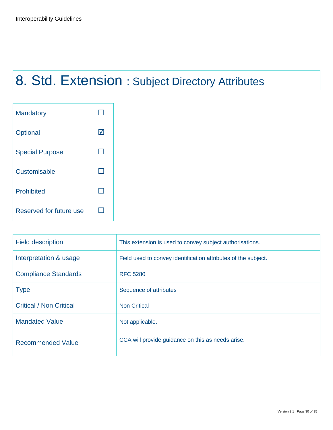# 8. Std. Extension : Subject Directory Attributes

| <b>Mandatory</b>        |   |
|-------------------------|---|
| Optional                | Ⅳ |
| <b>Special Purpose</b>  |   |
| Customisable            |   |
| <b>Prohibited</b>       |   |
| Reserved for future use |   |

| <b>Field description</b>       | This extension is used to convey subject authorisations.       |
|--------------------------------|----------------------------------------------------------------|
| Interpretation & usage         | Field used to convey identification attributes of the subject. |
| <b>Compliance Standards</b>    | <b>RFC 5280</b>                                                |
| <b>Type</b>                    | Sequence of attributes                                         |
| <b>Critical / Non Critical</b> | <b>Non Critical</b>                                            |
| <b>Mandated Value</b>          | Not applicable.                                                |
| <b>Recommended Value</b>       | CCA will provide guidance on this as needs arise.              |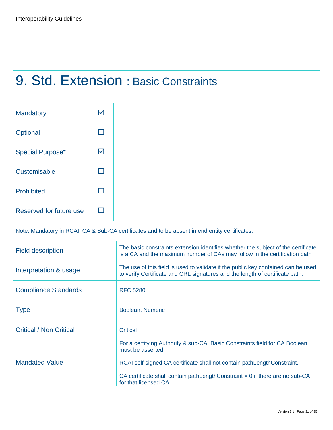### 9. Std. Extension : Basic Constraints

| <b>Mandatory</b>        |   |
|-------------------------|---|
| Optional                |   |
| <b>Special Purpose*</b> | M |
| Customisable            |   |
| <b>Prohibited</b>       |   |
| Reserved for future use |   |

Note: Mandatory in RCAI, CA & Sub-CA certificates and to be absent in end entity certificates.

| <b>Field description</b>       | The basic constraints extension identifies whether the subject of the certificate<br>is a CA and the maximum number of CAs may follow in the certification path             |
|--------------------------------|-----------------------------------------------------------------------------------------------------------------------------------------------------------------------------|
| Interpretation & usage         | The use of this field is used to validate if the public key contained can be used<br>to verify Certificate and CRL signatures and the length of certificate path.           |
| <b>Compliance Standards</b>    | <b>RFC 5280</b>                                                                                                                                                             |
| <b>Type</b>                    | Boolean, Numeric                                                                                                                                                            |
| <b>Critical / Non Critical</b> | Critical                                                                                                                                                                    |
| <b>Mandated Value</b>          | For a certifying Authority & sub-CA, Basic Constraints field for CA Boolean<br>must be asserted.<br>RCAI self-signed CA certificate shall not contain pathLengthConstraint. |
|                                | CA certificate shall contain pathLengthConstraint $= 0$ if there are no sub-CA<br>for that licensed CA.                                                                     |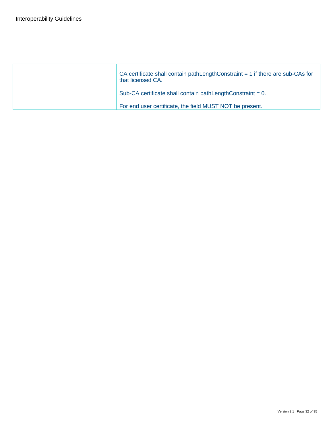| CA certificate shall contain pathLengthConstraint $= 1$ if there are sub-CAs for<br>that licensed CA. |
|-------------------------------------------------------------------------------------------------------|
| Sub-CA certificate shall contain pathLengthConstraint = 0.                                            |
| For end user certificate, the field MUST NOT be present.                                              |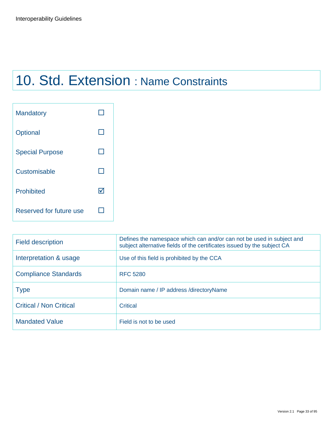## 10. Std. Extension : Name Constraints

| <b>Mandatory</b>        |    |
|-------------------------|----|
| Optional                |    |
| <b>Special Purpose</b>  |    |
| Customisable            |    |
| <b>Prohibited</b>       | lv |
| Reserved for future use |    |

| <b>Field description</b>       | Defines the namespace which can and/or can not be used in subject and<br>subject alternative fields of the certificates issued by the subject CA |
|--------------------------------|--------------------------------------------------------------------------------------------------------------------------------------------------|
| Interpretation & usage         | Use of this field is prohibited by the CCA                                                                                                       |
| <b>Compliance Standards</b>    | <b>RFC 5280</b>                                                                                                                                  |
| <b>Type</b>                    | Domain name / IP address / directory Name                                                                                                        |
| <b>Critical / Non Critical</b> | <b>Critical</b>                                                                                                                                  |
| <b>Mandated Value</b>          | Field is not to be used                                                                                                                          |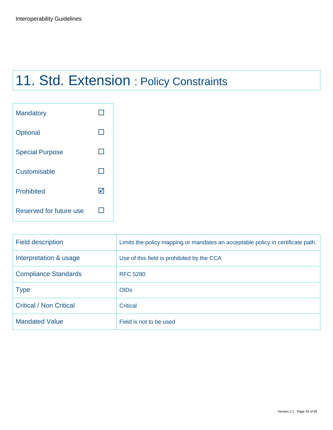## 11. Std. Extension : Policy Constraints

| <b>Mandatory</b>        |   |
|-------------------------|---|
| Optional                |   |
| <b>Special Purpose</b>  |   |
| Customisable            |   |
| <b>Prohibited</b>       | M |
| Reserved for future use |   |

| <b>Field description</b>       | Limits the policy mapping or mandates an acceptable policy in certificate path. |
|--------------------------------|---------------------------------------------------------------------------------|
| Interpretation & usage         | Use of this field is prohibited by the CCA                                      |
| <b>Compliance Standards</b>    | <b>RFC 5280</b>                                                                 |
| <b>Type</b>                    | <b>OIDs</b>                                                                     |
| <b>Critical / Non Critical</b> | <b>Critical</b>                                                                 |
| <b>Mandated Value</b>          | Field is not to be used                                                         |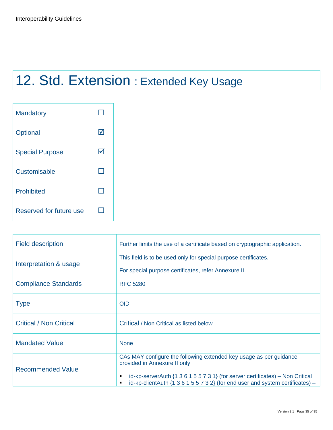## 12. Std. Extension : Extended Key Usage

| <b>Mandatory</b>        |   |
|-------------------------|---|
| Optional                | M |
| <b>Special Purpose</b>  | M |
| Customisable            |   |
| <b>Prohibited</b>       |   |
| Reserved for future use |   |

| <b>Field description</b>       | Further limits the use of a certificate based on cryptographic application.                                                                                                                                                                                                                            |
|--------------------------------|--------------------------------------------------------------------------------------------------------------------------------------------------------------------------------------------------------------------------------------------------------------------------------------------------------|
| Interpretation & usage         | This field is to be used only for special purpose certificates.<br>For special purpose certificates, refer Annexure II                                                                                                                                                                                 |
| <b>Compliance Standards</b>    | <b>RFC 5280</b>                                                                                                                                                                                                                                                                                        |
| <b>Type</b>                    | <b>OID</b>                                                                                                                                                                                                                                                                                             |
| <b>Critical / Non Critical</b> | Critical / Non Critical as listed below                                                                                                                                                                                                                                                                |
| <b>Mandated Value</b>          | <b>None</b>                                                                                                                                                                                                                                                                                            |
| <b>Recommended Value</b>       | CAs MAY configure the following extended key usage as per guidance<br>provided in Annexure II only<br>id-kp-serverAuth $\{1\ 3\ 6\ 1\ 5\ 5\ 7\ 3\ 1\}$ (for server certificates) – Non Critical<br>٠<br>id-kp-clientAuth $\{1\ 3\ 6\ 1\ 5\ 5\ 7\ 3\ 2\}$ (for end user and system certificates) –<br>٠ |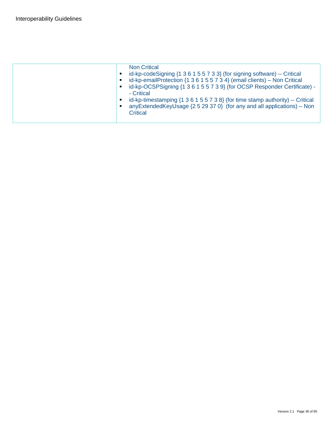| <b>Non Critical</b><br>id-kp-codeSigning {1 3 6 1 5 5 7 3 3} (for signing software) -- Critical<br>٠<br>id-kp-emailProtection {1 3 6 1 5 5 7 3 4} (email clients) - Non Critical<br>٠<br>id-kp-OCSPSigning {1 3 6 1 5 5 7 3 9} (for OCSP Responder Certificate) -<br>$\blacksquare$<br>- Critical<br>id-kp-timestamping {1 3 6 1 5 5 7 3 8} (for time stamp authority) -- Critical<br>٠<br>anyExtendedKeyUsage $\{2529370\}$ (for any and all applications) – Non<br>п<br>Critical |
|------------------------------------------------------------------------------------------------------------------------------------------------------------------------------------------------------------------------------------------------------------------------------------------------------------------------------------------------------------------------------------------------------------------------------------------------------------------------------------|
|                                                                                                                                                                                                                                                                                                                                                                                                                                                                                    |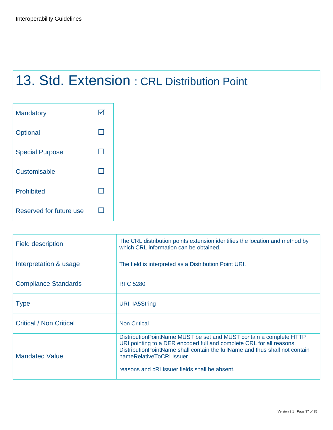# 13. Std. Extension : CRL Distribution Point

| <b>Mandatory</b>        |  |
|-------------------------|--|
| Optional                |  |
| <b>Special Purpose</b>  |  |
| Customisable            |  |
| <b>Prohibited</b>       |  |
| Reserved for future use |  |

| <b>Field description</b>       | The CRL distribution points extension identifies the location and method by<br>which CRL information can be obtained.                                                                                                                                                                                      |
|--------------------------------|------------------------------------------------------------------------------------------------------------------------------------------------------------------------------------------------------------------------------------------------------------------------------------------------------------|
| Interpretation & usage         | The field is interpreted as a Distribution Point URI.                                                                                                                                                                                                                                                      |
| <b>Compliance Standards</b>    | <b>RFC 5280</b>                                                                                                                                                                                                                                                                                            |
| <b>Type</b>                    | URI, IA5String                                                                                                                                                                                                                                                                                             |
| <b>Critical / Non Critical</b> | <b>Non Critical</b>                                                                                                                                                                                                                                                                                        |
| <b>Mandated Value</b>          | Distribution Point Name MUST be set and MUST contain a complete HTTP<br>URI pointing to a DER encoded full and complete CRL for all reasons.<br>Distribution Point Name shall contain the full Name and thus shall not contain<br>nameRelativeToCRLIssuer<br>reasons and cRLIssuer fields shall be absent. |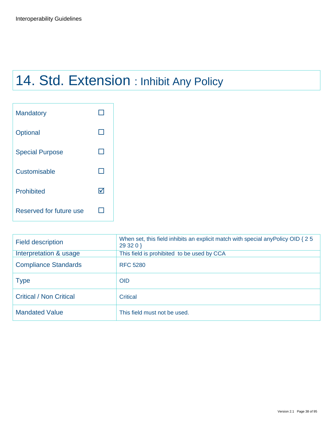# 14. Std. Extension : Inhibit Any Policy

| <b>Mandatory</b>        |    |
|-------------------------|----|
| Optional                |    |
| <b>Special Purpose</b>  |    |
| Customisable            |    |
| <b>Prohibited</b>       | IV |
| Reserved for future use |    |

| <b>Field description</b>       | When set, this field inhibits an explicit match with special any Policy OID { 2 5<br>29320 |
|--------------------------------|--------------------------------------------------------------------------------------------|
| Interpretation & usage         | This field is prohibited to be used by CCA                                                 |
| <b>Compliance Standards</b>    | <b>RFC 5280</b>                                                                            |
| <b>Type</b>                    | <b>OID</b>                                                                                 |
| <b>Critical / Non Critical</b> | <b>Critical</b>                                                                            |
| <b>Mandated Value</b>          | This field must not be used.                                                               |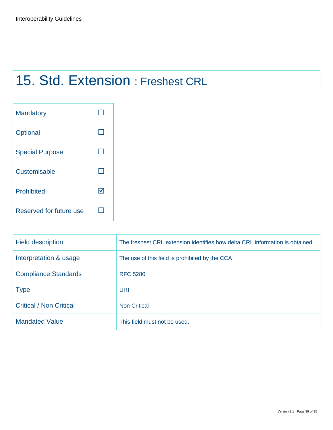# 15. Std. Extension : Freshest CRL

| <b>Mandatory</b>        |    |
|-------------------------|----|
| Optional                |    |
| <b>Special Purpose</b>  |    |
| Customisable            |    |
| <b>Prohibited</b>       | lv |
| Reserved for future use |    |

| <b>Field description</b>       | The freshest CRL extension identifies how delta CRL information is obtained. |
|--------------------------------|------------------------------------------------------------------------------|
| Interpretation & usage         | The use of this field is prohibited by the CCA                               |
| <b>Compliance Standards</b>    | <b>RFC 5280</b>                                                              |
| <b>Type</b>                    | URI                                                                          |
| <b>Critical / Non Critical</b> | <b>Non Critical</b>                                                          |
| <b>Mandated Value</b>          | This field must not be used.                                                 |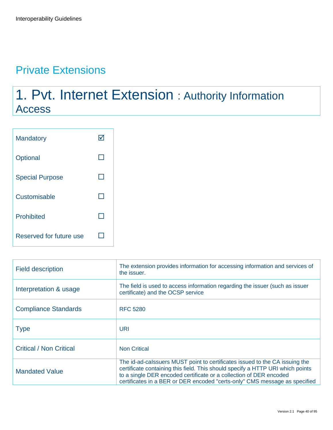## Private Extensions

# 1. Pvt. Internet Extension : Authority Information Access

| <b>Mandatory</b>        |  |
|-------------------------|--|
| Optional                |  |
| <b>Special Purpose</b>  |  |
| Customisable            |  |
| <b>Prohibited</b>       |  |
| Reserved for future use |  |

| <b>Field description</b>       | The extension provides information for accessing information and services of<br>the issuer.                                                                                                                                                                                                                       |
|--------------------------------|-------------------------------------------------------------------------------------------------------------------------------------------------------------------------------------------------------------------------------------------------------------------------------------------------------------------|
| Interpretation & usage         | The field is used to access information regarding the issuer (such as issuer<br>certificate) and the OCSP service                                                                                                                                                                                                 |
| <b>Compliance Standards</b>    | <b>RFC 5280</b>                                                                                                                                                                                                                                                                                                   |
| <b>Type</b>                    | URI                                                                                                                                                                                                                                                                                                               |
| <b>Critical / Non Critical</b> | <b>Non Critical</b>                                                                                                                                                                                                                                                                                               |
| <b>Mandated Value</b>          | The id-ad-calssuers MUST point to certificates issued to the CA issuing the<br>certificate containing this field. This should specify a HTTP URI which points<br>to a single DER encoded certificate or a collection of DER encoded<br>certificates in a BER or DER encoded "certs-only" CMS message as specified |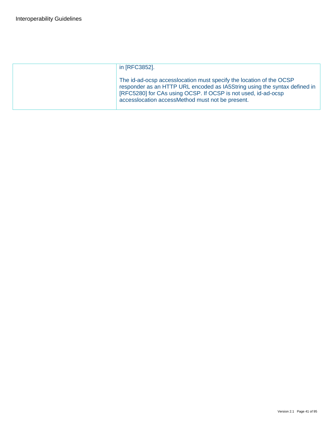| in [RFC3852].                                                                                                                                                                                                                                                          |
|------------------------------------------------------------------------------------------------------------------------------------------------------------------------------------------------------------------------------------------------------------------------|
| The id-ad-ocsp access location must specify the location of the OCSP<br>responder as an HTTP URL encoded as IA5String using the syntax defined in<br>[RFC5280] for CAs using OCSP. If OCSP is not used, id-ad-ocsp<br>accesslocation accessMethod must not be present. |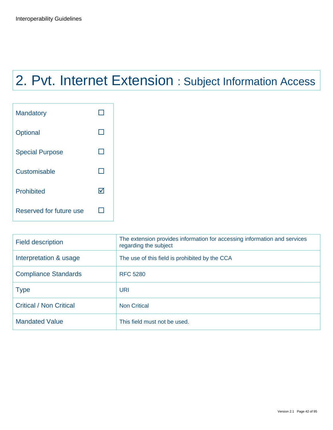# 2. Pvt. Internet Extension : Subject Information Access

| <b>Mandatory</b>        |  |
|-------------------------|--|
| Optional                |  |
| <b>Special Purpose</b>  |  |
| Customisable            |  |
| <b>Prohibited</b>       |  |
| Reserved for future use |  |

| <b>Field description</b>       | The extension provides information for accessing information and services<br>regarding the subject |
|--------------------------------|----------------------------------------------------------------------------------------------------|
| Interpretation & usage         | The use of this field is prohibited by the CCA                                                     |
| <b>Compliance Standards</b>    | <b>RFC 5280</b>                                                                                    |
| <b>Type</b>                    | <b>URI</b>                                                                                         |
| <b>Critical / Non Critical</b> | <b>Non Critical</b>                                                                                |
| <b>Mandated Value</b>          | This field must not be used.                                                                       |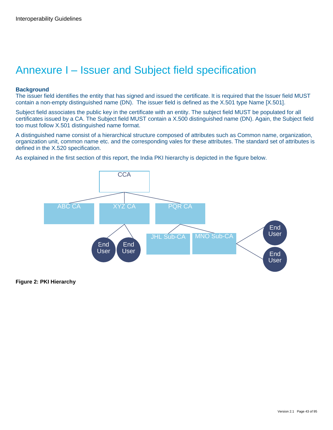## Annexure I – Issuer and Subject field specification

#### **Background**

The issuer field identifies the entity that has signed and issued the certificate. It is required that the Issuer field MUST contain a non-empty distinguished name (DN). The issuer field is defined as the X.501 type Name [X.501].

Subject field associates the public key in the certificate with an entity. The subject field MUST be populated for all certificates issued by a CA. The Subject field MUST contain a X.500 distinguished name (DN). Again, the Subject field too must follow X.501 distinguished name format.

A distinguished name consist of a hierarchical structure composed of attributes such as Common name, organization, organization unit, common name etc. and the corresponding vales for these attributes. The standard set of attributes is defined in the X.520 specification.

As explained in the first section of this report, the India PKI hierarchy is depicted in the figure below.



**Figure 2: PKI Hierarchy**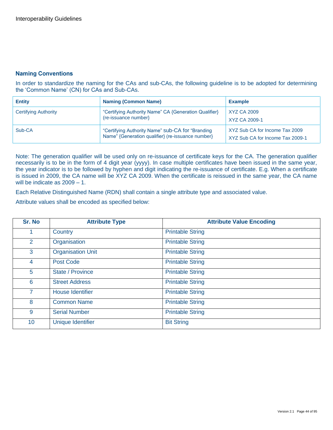#### **Naming Conventions**

In order to standardize the naming for the CAs and sub-CAs, the following guideline is to be adopted for determining the "Common Name" (CN) for CAs and Sub-CAs.

| <b>Entity</b>        | <b>Naming (Common Name)</b>                                                                           | <b>Example</b>                                                     |
|----------------------|-------------------------------------------------------------------------------------------------------|--------------------------------------------------------------------|
| Certifying Authority | "Certifying Authority Name" CA {Generation Qualifier}<br>(re-issuance number)                         | XYZ CA 2009<br>XYZ CA 2009-1                                       |
| Sub-CA               | "Certifying Authority Name" sub-CA for "Branding<br>Name" {Generation qualifier} (re-issuance number} | XYZ Sub CA for Income Tax 2009<br>XYZ Sub CA for Income Tax 2009-1 |

Note: The generation qualifier will be used only on re-issuance of certificate keys for the CA. The generation qualifier necessarily is to be in the form of 4 digit year (yyyy). In case multiple certificates have been issued in the same year, the year indicator is to be followed by hyphen and digit indicating the re-issuance of certificate. E.g. When a certificate is issued in 2009, the CA name will be XYZ CA 2009. When the certificate is reissued in the same year, the CA name will be indicate as 2009 – 1.

Each Relative Distinguished Name (RDN) shall contain a single attribute type and associated value.

Attribute values shall be encoded as specified below:

| Sr. No         | <b>Attribute Type</b>    | <b>Attribute Value Encoding</b> |
|----------------|--------------------------|---------------------------------|
|                | Country                  | <b>Printable String</b>         |
| $\overline{2}$ | Organisation             | <b>Printable String</b>         |
| 3              | <b>Organisation Unit</b> | <b>Printable String</b>         |
| 4              | <b>Post Code</b>         | <b>Printable String</b>         |
| 5              | <b>State / Province</b>  | <b>Printable String</b>         |
| 6              | <b>Street Address</b>    | <b>Printable String</b>         |
| $\overline{7}$ | <b>House Identifier</b>  | <b>Printable String</b>         |
| 8              | <b>Common Name</b>       | <b>Printable String</b>         |
| 9              | <b>Serial Number</b>     | <b>Printable String</b>         |
| 10             | <b>Unique Identifier</b> | <b>Bit String</b>               |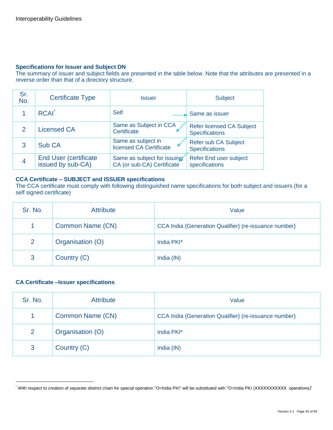#### **Specifications for Issuer and Subject DN**

The summary of issuer and subject fields are presented in the table below. Note that the attributes are presented in a reverse order than that of a directory structure.

| Sr.<br>No.    | <b>Certificate Type</b>                            | <b>Issuer</b>                                             | <b>Subject</b>                                            |
|---------------|----------------------------------------------------|-----------------------------------------------------------|-----------------------------------------------------------|
|               | <b>RCAI</b>                                        | <b>Self</b>                                               | Same as issuer                                            |
| $\mathcal{P}$ | <b>Licensed CA</b>                                 | Same as Subject in CCA<br>Certificate                     | <b>Refer licensed CA Subject</b><br><b>Specifications</b> |
| 3             | Sub CA                                             | Same as subject in<br>licensed CA Certificate             | Refer sub CA Subject<br><b>Specifications</b>             |
| 4             | <b>End User (certificate)</b><br>issued by sub-CA) | Same as subject for issuing<br>CA (or sub-CA) Certificate | Refer End user subject<br>specifications                  |

#### **CCA Certificate – SUBJECT and ISSUER specifications**

The CCA certificate must comply with following distinguished name specifications for both subject and issuers (for a self signed certificate)

| Sr. No. | <b>Attribute</b> | Value                                                 |
|---------|------------------|-------------------------------------------------------|
|         | Common Name (CN) | CCA India {Generation Qualifier} (re-issuance number} |
| 2       | Organisation (O) | India PKI*                                            |
| 3       | Country (C)      | India (IN)                                            |

#### **CA Certificate –Issuer specifications**

| Sr. No. | <b>Attribute</b> | Value                                                 |
|---------|------------------|-------------------------------------------------------|
|         | Common Name (CN) | CCA India {Generation Qualifier} (re-issuance number} |
| 2       | Organisation (O) | India PKI*                                            |
| 3       | Country (C)      | India (IN)                                            |

<sup>\*</sup> With respect to creation of separate distinct chain for special operation "O=India PKI" will be substituted with "O=India PKI (XXXXXXXXXXX operations)"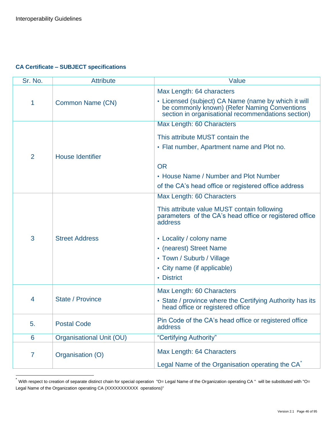#### **CA Certificate – SUBJECT specifications**

| Sr. No.        | <b>Attribute</b>                | Value                                                                                                                                                     |
|----------------|---------------------------------|-----------------------------------------------------------------------------------------------------------------------------------------------------------|
|                |                                 | Max Length: 64 characters                                                                                                                                 |
| 1              | Common Name (CN)                | • Licensed (subject) CA Name (name by which it will<br>be commonly known) (Refer Naming Conventions<br>section in organisational recommendations section) |
|                |                                 | Max Length: 60 Characters                                                                                                                                 |
|                |                                 | This attribute MUST contain the                                                                                                                           |
|                |                                 | • Flat number, Apartment name and Plot no.                                                                                                                |
| $\overline{2}$ | <b>House Identifier</b>         |                                                                                                                                                           |
|                |                                 | <b>OR</b>                                                                                                                                                 |
|                |                                 | • House Name / Number and Plot Number                                                                                                                     |
|                |                                 | of the CA's head office or registered office address                                                                                                      |
|                |                                 | Max Length: 60 Characters                                                                                                                                 |
| 3              |                                 | This attribute value MUST contain following<br>parameters of the CA's head office or registered office<br>address                                         |
|                | <b>Street Address</b>           | • Locality / colony name                                                                                                                                  |
|                |                                 | • (nearest) Street Name                                                                                                                                   |
|                |                                 | • Town / Suburb / Village                                                                                                                                 |
|                |                                 | • City name (if applicable)                                                                                                                               |
|                |                                 | • District                                                                                                                                                |
|                |                                 |                                                                                                                                                           |
| 4              | State / Province                | Max Length: 60 Characters                                                                                                                                 |
|                |                                 | • State / province where the Certifying Authority has its<br>head office or registered office                                                             |
| 5.             | <b>Postal Code</b>              | Pin Code of the CA's head office or registered office<br>address                                                                                          |
| 6              | <b>Organisational Unit (OU)</b> | "Certifying Authority"                                                                                                                                    |
| $\overline{7}$ | Organisation (O)                | Max Length: 64 Characters                                                                                                                                 |
|                |                                 | Legal Name of the Organisation operating the CA <sup>®</sup>                                                                                              |

 $\star$ With respect to creation of separate distinct chain for special operation "O= Legal Name of the Organization operating CA " will be substituted with "O= Legal Name of the Organization operating CA (XXXXXXXXXX operations)"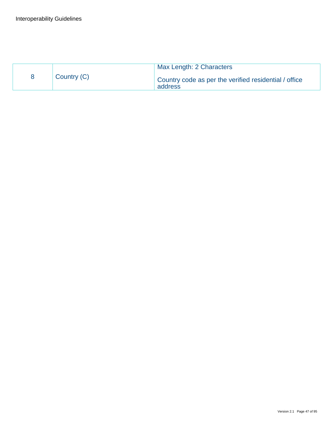|             | Max Length: 2 Characters                                         |
|-------------|------------------------------------------------------------------|
| Country (C) | Country code as per the verified residential / office<br>address |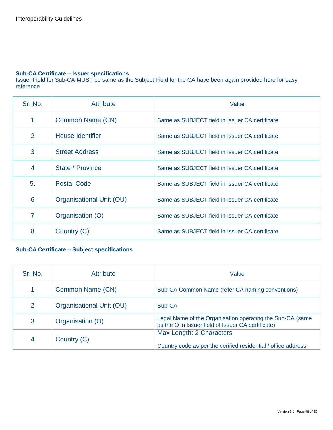#### **Sub-CA Certificate – Issuer specifications**

Issuer Field for Sub-CA MUST be same as the Subject Field for the CA have been again provided here for easy reference

| Sr. No.         | <b>Attribute</b>         | Value                                          |
|-----------------|--------------------------|------------------------------------------------|
| 1               | Common Name (CN)         | Same as SUBJECT field in Issuer CA certificate |
| 2               | <b>House Identifier</b>  | Same as SUBJECT field in Issuer CA certificate |
| 3               | <b>Street Address</b>    | Same as SUBJECT field in Issuer CA certificate |
| $\overline{4}$  | State / Province         | Same as SUBJECT field in Issuer CA certificate |
| 5.              | <b>Postal Code</b>       | Same as SUBJECT field in Issuer CA certificate |
| $6\phantom{1}6$ | Organisational Unit (OU) | Same as SUBJECT field in Issuer CA certificate |
| 7               | Organisation (O)         | Same as SUBJECT field in Issuer CA certificate |
| 8               | Country (C)              | Same as SUBJECT field in Issuer CA certificate |

#### **Sub-CA Certificate – Subject specifications**

| Sr. No. | <b>Attribute</b>         | Value                                                                                                           |
|---------|--------------------------|-----------------------------------------------------------------------------------------------------------------|
| 1       | Common Name (CN)         | Sub-CA Common Name (refer CA naming conventions)                                                                |
| 2       | Organisational Unit (OU) | Sub-CA                                                                                                          |
| 3       | Organisation (O)         | Legal Name of the Organisation operating the Sub-CA (same<br>as the O in Issuer field of Issuer CA certificate) |
| 4       | Country (C)              | Max Length: 2 Characters<br>Country code as per the verified residential / office address                       |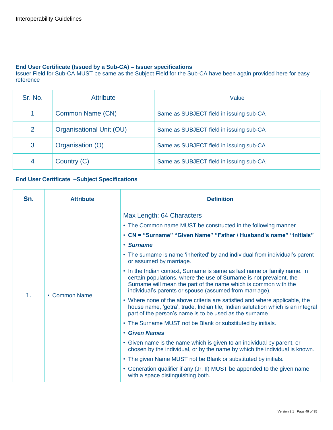#### **End User Certificate (Issued by a Sub-CA) – Issuer specifications**

Issuer Field for Sub-CA MUST be same as the Subject Field for the Sub-CA have been again provided here for easy reference

| Sr. No. | <b>Attribute</b>         | Value                                   |
|---------|--------------------------|-----------------------------------------|
|         | Common Name (CN)         | Same as SUBJECT field in issuing sub-CA |
| 2       | Organisational Unit (OU) | Same as SUBJECT field in issuing sub-CA |
| 3       | Organisation (O)         | Same as SUBJECT field in issuing sub-CA |
| 4       | Country (C)              | Same as SUBJECT field in issuing sub-CA |

#### **End User Certificate –Subject Specifications**

| Max Length: 64 Characters<br>• The Common name MUST be constructed in the following manner<br>• CN = "Surname" "Given Name" "Father / Husband's name" "Initials"<br>• Surname<br>• The surname is name 'inherited' by and individual from individual's parent<br>or assumed by marriage.<br>• In the Indian context, Surname is same as last name or family name. In<br>certain populations, where the use of Surname is not prevalent, the<br>Surname will mean the part of the name which is common with the<br>individual's parents or spouse (assumed from marriage).<br>$\mathbf{1}$ .<br>• Common Name<br>• Where none of the above criteria are satisfied and where applicable, the<br>part of the person's name is to be used as the surname.<br>• The Surname MUST not be Blank or substituted by initials.<br>• Given Names<br>• Given name is the name which is given to an individual by parent, or<br>chosen by the individual, or by the name by which the individual is known. | Sn. | <b>Attribute</b> | <b>Definition</b>                                                                                                                                 |
|-----------------------------------------------------------------------------------------------------------------------------------------------------------------------------------------------------------------------------------------------------------------------------------------------------------------------------------------------------------------------------------------------------------------------------------------------------------------------------------------------------------------------------------------------------------------------------------------------------------------------------------------------------------------------------------------------------------------------------------------------------------------------------------------------------------------------------------------------------------------------------------------------------------------------------------------------------------------------------------------------|-----|------------------|---------------------------------------------------------------------------------------------------------------------------------------------------|
| • Generation qualifier if any (Jr. II) MUST be appended to the given name<br>with a space distinguishing both.                                                                                                                                                                                                                                                                                                                                                                                                                                                                                                                                                                                                                                                                                                                                                                                                                                                                                |     |                  | house name, 'gotra', trade, Indian tile, Indian salutation which is an integral<br>• The given Name MUST not be Blank or substituted by initials. |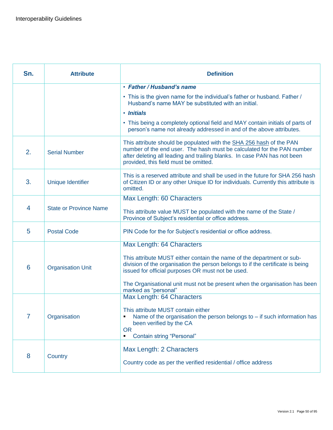| Sn.            | <b>Attribute</b>              | <b>Definition</b>                                                                                                                                                                                                                                                                                                                               |
|----------------|-------------------------------|-------------------------------------------------------------------------------------------------------------------------------------------------------------------------------------------------------------------------------------------------------------------------------------------------------------------------------------------------|
|                |                               | • Father / Husband's name<br>• This is the given name for the individual's father or husband. Father /<br>Husband's name MAY be substituted with an initial.<br>• Initials<br>• This being a completely optional field and MAY contain initials of parts of<br>person's name not already addressed in and of the above attributes.              |
| 2.             | <b>Serial Number</b>          | This attribute should be populated with the SHA 256 hash of the PAN<br>number of the end user. The hash must be calculated for the PAN number<br>after deleting all leading and trailing blanks. In case PAN has not been<br>provided, this field must be omitted.                                                                              |
| 3.             | Unique Identifier             | This is a reserved attribute and shall be used in the future for SHA 256 hash<br>of Citizen ID or any other Unique ID for individuals. Currently this attribute is<br>omitted.                                                                                                                                                                  |
| $\overline{4}$ | <b>State or Province Name</b> | Max Length: 60 Characters<br>This attribute value MUST be populated with the name of the State /<br>Province of Subject's residential or office address.                                                                                                                                                                                        |
| 5              | <b>Postal Code</b>            | PIN Code for the for Subject's residential or office address.                                                                                                                                                                                                                                                                                   |
| 6              | <b>Organisation Unit</b>      | Max Length: 64 Characters<br>This attribute MUST either contain the name of the department or sub-<br>division of the organisation the person belongs to if the certificate is being<br>issued for official purposes OR must not be used.<br>The Organisational unit must not be present when the organisation has been<br>marked as "personal" |
| 7              | Organisation                  | Max Length: 64 Characters<br>This attribute MUST contain either<br>Name of the organisation the person belongs to $-$ if such information has<br>been verified by the CA<br><b>OR</b><br><b>Contain string "Personal"</b><br>٠                                                                                                                  |
| 8              | Country                       | Max Length: 2 Characters<br>Country code as per the verified residential / office address                                                                                                                                                                                                                                                       |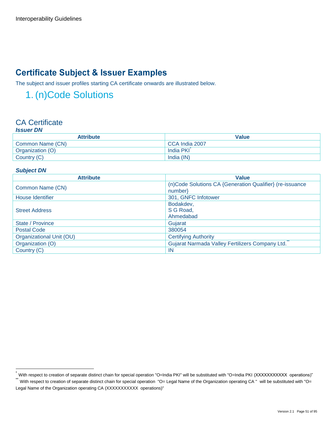## **Certificate Subject & Issuer Examples**

The subject and issuer profiles starting CA certificate onwards are illustrated below.

## 1. (n)Code Solutions

#### CA Certificate *Issuer DN*

| ISSUEI DIV       |                |  |
|------------------|----------------|--|
| <b>Attribute</b> | <b>Value</b>   |  |
| Common Name (CN) | CCA India 2007 |  |
| Organization (O) | India PKI      |  |
| Country (C)      | India (IN)     |  |

#### *Subject DN*

| <b>Attribute</b>         | <b>Value</b>                                             |
|--------------------------|----------------------------------------------------------|
|                          | (n)Code Solutions CA {Generation Qualifier} (re-issuance |
| Common Name (CN)         | number                                                   |
| House Identifier         | 301, GNFC Infotower                                      |
| <b>Street Address</b>    | Bodakdev,                                                |
|                          | S G Road,                                                |
|                          | Ahmedabad                                                |
| State / Province         | Gujarat                                                  |
| <b>Postal Code</b>       | 380054                                                   |
| Organizational Unit (OU) | <b>Certifying Authority</b>                              |
| Organization (O)         | Gujarat Narmada Valley Fertilizers Company Ltd.          |
| Country (C)              | <b>IN</b>                                                |

<sup>\*</sup> With respect to creation of separate distinct chain for special operation "O=India PKI" will be substituted with "O=India PKI (XXXXXXXXXXX operations)"

With respect to creation of separate distinct chain for special operation "O= Legal Name of the Organization operating CA " will be substituted with "O= Legal Name of the Organization operating CA (XXXXXXXXXXX operations)"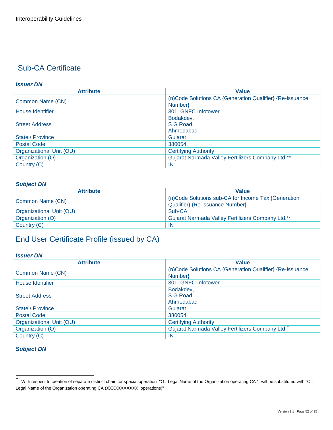#### *Issuer DN*

| <b>Attribute</b>         | <b>Value</b>                                             |
|--------------------------|----------------------------------------------------------|
|                          | (n)Code Solutions CA {Generation Qualifier} {Re-issuance |
| Common Name (CN)         | Number                                                   |
| House Identifier         | 301, GNFC Infotower                                      |
| <b>Street Address</b>    | Bodakdev,                                                |
|                          | S G Road,                                                |
|                          | Ahmedabad                                                |
| State / Province         | Gujarat                                                  |
| <b>Postal Code</b>       | 380054                                                   |
| Organizational Unit (OU) | <b>Certifying Authority</b>                              |
| Organization (O)         | Gujarat Narmada Valley Fertilizers Company Ltd.**        |
| Country (C)              | <b>IN</b>                                                |

#### *Subject DN*

| <b>Attribute</b>         | <b>Value</b>                                        |
|--------------------------|-----------------------------------------------------|
| Common Name (CN)         | (n)Code Solutions sub-CA for Income Tax {Generation |
|                          | Qualifier} {Re-issuance Number}                     |
| Organizational Unit (OU) | Sub-CA                                              |
| Organization (O)         | Gujarat Narmada Valley Fertilizers Company Ltd.**   |
| Country (C)              | -IN                                                 |

## End User Certificate Profile (issued by CA)

#### *Issuer DN*

| <b>Attribute</b>         | <b>Value</b>                                             |
|--------------------------|----------------------------------------------------------|
| Common Name (CN)         | (n)Code Solutions CA {Generation Qualifier} {Re-issuance |
|                          | Number                                                   |
| House Identifier         | 301, GNFC Infotower                                      |
|                          | Bodakdev,                                                |
| <b>Street Address</b>    | S G Road,                                                |
|                          | Ahmedabad                                                |
| State / Province         | Gujarat                                                  |
| <b>Postal Code</b>       | 380054                                                   |
| Organizational Unit (OU) | <b>Certifying Authority</b>                              |
| Organization (O)         | Gujarat Narmada Valley Fertilizers Company Ltd.          |
| Country (C)              | IN                                                       |

#### *Subject DN*

 \*\* With respect to creation of separate distinct chain for special operation "O= Legal Name of the Organization operating CA " will be substituted with "O= Legal Name of the Organization operating CA (XXXXXXXXXX operations)"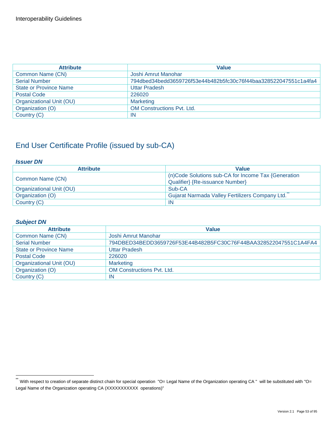| <b>Attribute</b>              | <b>Value</b>                                                     |
|-------------------------------|------------------------------------------------------------------|
| Common Name (CN)              | Joshi Amrut Manohar                                              |
| <b>Serial Number</b>          | 794dbed34bedd3659726f53e44b482b5fc30c76f44baa328522047551c1a4fa4 |
| <b>State or Province Name</b> | Uttar Pradesh                                                    |
| <b>Postal Code</b>            | 226020                                                           |
| Organizational Unit (OU)      | <b>Marketing</b>                                                 |
| Organization (O)              | <b>OM Constructions Pvt. Ltd.</b>                                |
| Country (C)                   | <b>IN</b>                                                        |

#### *Issuer DN*

| <b>Attribute</b>         | <b>Value</b>                                        |
|--------------------------|-----------------------------------------------------|
| Common Name (CN)         | (n)Code Solutions sub-CA for Income Tax {Generation |
|                          | Qualifier} {Re-issuance Number}                     |
| Organizational Unit (OU) | Sub-CA                                              |
| Organization (O)         | Gujarat Narmada Valley Fertilizers Company Ltd.     |
| Country (C)              | -IN                                                 |

#### *Subject DN*

| <b>Attribute</b>              | <b>Value</b>                                                     |
|-------------------------------|------------------------------------------------------------------|
| Common Name (CN)              | Joshi Amrut Manohar                                              |
| <b>Serial Number</b>          | 794DBED34BEDD3659726F53E44B482B5FC30C76F44BAA328522047551C1A4FA4 |
| <b>State or Province Name</b> | <b>Uttar Pradesh</b>                                             |
| <b>Postal Code</b>            | 226020                                                           |
| Organizational Unit (OU)      | <b>Marketing</b>                                                 |
| Organization (O)              | <b>OM Constructions Pvt. Ltd.</b>                                |
| Country (C)                   | IN                                                               |

<sup>\*\*&</sup>lt;br>With respect to creation of separate distinct chain for special operation "O= Legal Name of the Organization operating CA " will be substituted with "O= Legal Name of the Organization operating CA (XXXXXXXXXX operations)"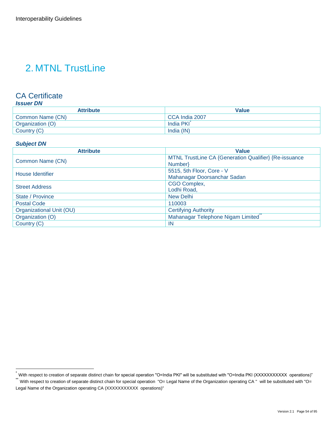## 2. MTNL TrustLine

### CA Certificate

#### *Issuer DN*

| <b>Attribute</b> | Value          |
|------------------|----------------|
| Common Name (CN) | CCA India 2007 |
| Organization (O) | India PKI      |
| Country (C)      | India (IN)     |

#### *Subject DN*

| <b>Attribute</b>         | <b>Value</b>                                          |
|--------------------------|-------------------------------------------------------|
|                          | MTNL TrustLine CA {Generation Qualifier} {Re-issuance |
| Common Name (CN)         | Number}                                               |
| House Identifier         | 5515, 5th Floor, Core - V                             |
|                          | Mahanagar Doorsanchar Sadan                           |
| <b>Street Address</b>    | CGO Complex,                                          |
|                          | Lodhi Road,                                           |
| State / Province         | <b>New Delhi</b>                                      |
| <b>Postal Code</b>       | 110003                                                |
| Organizational Unit (OU) | <b>Certifying Authority</b>                           |
| Organization (O)         | Mahanagar Telephone Nigam Limited                     |
| Country (C)              | IN                                                    |

<sup>\*</sup> With respect to creation of separate distinct chain for special operation "O=India PKI" will be substituted with "O=India PKI (XXXXXXXXXXX operations)"<br>"

With respect to creation of separate distinct chain for special operation "O= Legal Name of the Organization operating CA " will be substituted with "O= Legal Name of the Organization operating CA (XXXXXXXXXX operations)"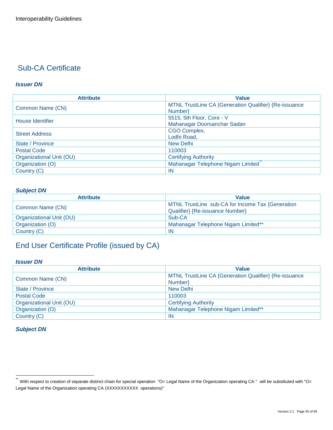#### *Issuer DN*

| <b>Attribute</b>         | <b>Value</b>                                          |
|--------------------------|-------------------------------------------------------|
| Common Name (CN)         | MTNL TrustLine CA {Generation Qualifier} {Re-issuance |
|                          | Number}                                               |
| House Identifier         | 5515, 5th Floor, Core - V                             |
|                          | Mahanagar Doorsanchar Sadan                           |
| <b>Street Address</b>    | CGO Complex,                                          |
|                          | Lodhi Road,                                           |
| State / Province         | <b>New Delhi</b>                                      |
| <b>Postal Code</b>       | 110003                                                |
| Organizational Unit (OU) | <b>Certifying Authority</b>                           |
| Organization (O)         | Mahanagar Telephone Nigam Limited                     |
| Country (C)              | -IN                                                   |

#### *Subject DN*

| <b>Attribute</b>         | <b>Value</b>                                     |
|--------------------------|--------------------------------------------------|
| Common Name (CN)         | MTNL TrustLine sub-CA for Income Tax {Generation |
|                          | Qualifier} {Re-issuance Number}                  |
| Organizational Unit (OU) | Sub-CA                                           |
| Organization (O)         | Mahanagar Telephone Nigam Limited**              |
| Country (C)              | -IN                                              |

## End User Certificate Profile (issued by CA)

#### *Issuer DN*

| <b>Attribute</b>         | Value                                                 |
|--------------------------|-------------------------------------------------------|
| Common Name (CN)         | MTNL TrustLine CA {Generation Qualifier} {Re-issuance |
|                          | Number                                                |
| State / Province         | <b>New Delhi</b>                                      |
| <b>Postal Code</b>       | 110003                                                |
| Organizational Unit (OU) | <b>Certifying Authority</b>                           |
| Organization (O)         | Mahanagar Telephone Nigam Limited**                   |
| Country (C)              | <b>IN</b>                                             |

#### *Subject DN*

<sup>\*\*&</sup>lt;br>With respect to creation of separate distinct chain for special operation "O= Legal Name of the Organization operating CA " will be substituted with "O= Legal Name of the Organization operating CA (XXXXXXXXXX operations)"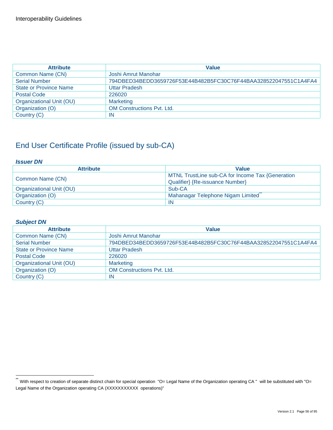| <b>Attribute</b>              | <b>Value</b>                                                     |
|-------------------------------|------------------------------------------------------------------|
| Common Name (CN)              | Joshi Amrut Manohar                                              |
| <b>Serial Number</b>          | 794DBED34BEDD3659726F53E44B482B5FC30C76F44BAA328522047551C1A4FA4 |
| <b>State or Province Name</b> | <b>Uttar Pradesh</b>                                             |
| <b>Postal Code</b>            | 226020                                                           |
| Organizational Unit (OU)      | <b>Marketing</b>                                                 |
| Organization (O)              | <b>OM Constructions Pyt. Ltd.</b>                                |
| Country (C)                   | IN                                                               |

#### *Issuer DN*

| <b>Attribute</b>         | <b>Value</b>                                     |
|--------------------------|--------------------------------------------------|
| Common Name (CN)         | MTNL TrustLine sub-CA for Income Tax {Generation |
|                          | Qualifier} {Re-issuance Number}                  |
| Organizational Unit (OU) | Sub-CA                                           |
| Organization (O)         | Mahanagar Telephone Nigam Limited                |
| Country (C)              | IN                                               |

#### *Subject DN*

| <b>Attribute</b>              | <b>Value</b>                                                     |
|-------------------------------|------------------------------------------------------------------|
| Common Name (CN)              | Joshi Amrut Manohar                                              |
| <b>Serial Number</b>          | 794DBED34BEDD3659726F53E44B482B5FC30C76F44BAA328522047551C1A4FA4 |
| <b>State or Province Name</b> | <b>Uttar Pradesh</b>                                             |
| <b>Postal Code</b>            | 226020                                                           |
| Organizational Unit (OU)      | <b>Marketing</b>                                                 |
| Organization (O)              | OM Constructions Pvt. Ltd.                                       |
| Country (C)                   | IN                                                               |

<sup>\*\*&</sup>lt;br>With respect to creation of separate distinct chain for special operation "O= Legal Name of the Organization operating CA " will be substituted with "O= Legal Name of the Organization operating CA (XXXXXXXXXX operations)"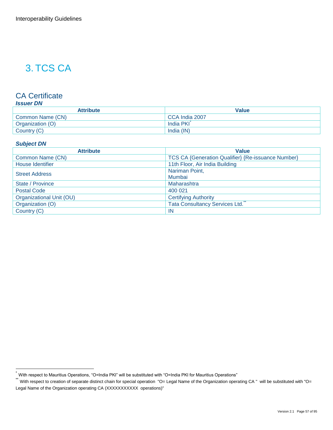## 3. TCS CA

#### CA Certificate

#### *Issuer DN*

| <b>Attribute</b> | Value          |
|------------------|----------------|
| Common Name (CN) | CCA India 2007 |
| Organization (O) | India PKI      |
| Country (C)      | India (IN)     |

#### *Subject DN*

| <b>Value</b>                                       |
|----------------------------------------------------|
| TCS CA {Generation Qualifier} {Re-issuance Number} |
| 11th Floor, Air India Building                     |
| Nariman Point,                                     |
| Mumbai                                             |
| Maharashtra                                        |
| 400 021                                            |
| <b>Certifying Authority</b>                        |
| Tata Consultancy Services Ltd.                     |
| IN                                                 |
|                                                    |

<sup>\*</sup> With respect to Mauritius Operations, "O=India PKI" will be substituted with "O=India PKI for Mauritius Operations"

<sup>\*\*&</sup>lt;br>With respect to creation of separate distinct chain for special operation "O= Legal Name of the Organization operating CA " will be substituted with "O= Legal Name of the Organization operating CA (XXXXXXXXXX operations)"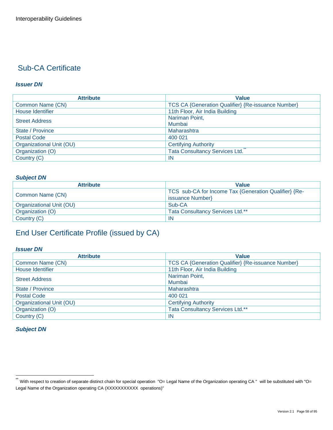#### *Issuer DN*

| <b>Attribute</b>         | <b>Value</b>                                              |
|--------------------------|-----------------------------------------------------------|
| Common Name (CN)         | <b>TCS CA {Generation Qualifier} {Re-issuance Number}</b> |
| House Identifier         | 11th Floor, Air India Building                            |
| <b>Street Address</b>    | Nariman Point,                                            |
|                          | Mumbai                                                    |
| State / Province         | Maharashtra                                               |
| <b>Postal Code</b>       | 400 021                                                   |
| Organizational Unit (OU) | <b>Certifying Authority</b>                               |
| Organization (O)         | <b>Tata Consultancy Services Ltd.</b>                     |
| Country (C)              | <b>IN</b>                                                 |

#### *Subject DN*

| <b>Attribute</b>         | <b>Value</b>                                                              |
|--------------------------|---------------------------------------------------------------------------|
| Common Name (CN)         | TCS sub-CA for Income Tax {Generation Qualifier} {Re-<br>issuance Number} |
| Organizational Unit (OU) | Sub-CA                                                                    |
| Organization (O)         | <b>Tata Consultancy Services Ltd.**</b>                                   |
| Country (C)              | <b>IN</b>                                                                 |

## End User Certificate Profile (issued by CA)

#### *Issuer DN*

| <b>Attribute</b>         | <b>Value</b>                                       |
|--------------------------|----------------------------------------------------|
| Common Name (CN)         | TCS CA {Generation Qualifier} {Re-issuance Number} |
| House Identifier         | 11th Floor, Air India Building                     |
| <b>Street Address</b>    | Nariman Point,                                     |
|                          | Mumbai                                             |
| State / Province         | Maharashtra                                        |
| <b>Postal Code</b>       | 400 021                                            |
| Organizational Unit (OU) | <b>Certifying Authority</b>                        |
| Organization (O)         | Tata Consultancy Services Ltd.**                   |
| Country (C)              | -IN                                                |

#### *Subject DN*

<sup>\*\*&</sup>lt;br>With respect to creation of separate distinct chain for special operation "O= Legal Name of the Organization operating CA " will be substituted with "O= Legal Name of the Organization operating CA (XXXXXXXXXX operations)"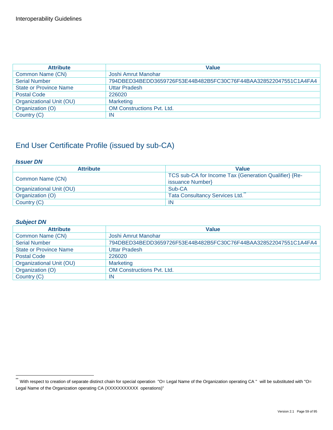| <b>Attribute</b>              | <b>Value</b>                                                     |
|-------------------------------|------------------------------------------------------------------|
| Common Name (CN)              | Joshi Amrut Manohar                                              |
| <b>Serial Number</b>          | 794DBED34BEDD3659726F53E44B482B5FC30C76F44BAA328522047551C1A4FA4 |
| <b>State or Province Name</b> | <b>Uttar Pradesh</b>                                             |
| <b>Postal Code</b>            | 226020                                                           |
| Organizational Unit (OU)      | <b>Marketing</b>                                                 |
| Organization (O)              | <b>OM Constructions Pyt. Ltd.</b>                                |
| Country (C)                   | IN                                                               |

#### *Issuer DN*

| <b>Attribute</b>         | <b>Value</b>                                          |
|--------------------------|-------------------------------------------------------|
| Common Name (CN)         | TCS sub-CA for Income Tax {Generation Qualifier} {Re- |
|                          | issuance Number}                                      |
| Organizational Unit (OU) | Sub-CA                                                |
| Organization (O)         | <b>Tata Consultancy Services Ltd.</b>                 |
| Country (C)              | IN                                                    |

#### *Subject DN*

| <b>Attribute</b>              | <b>Value</b>                                                     |
|-------------------------------|------------------------------------------------------------------|
| Common Name (CN)              | Joshi Amrut Manohar                                              |
| <b>Serial Number</b>          | 794DBED34BEDD3659726F53E44B482B5FC30C76F44BAA328522047551C1A4FA4 |
| <b>State or Province Name</b> | <b>Uttar Pradesh</b>                                             |
| <b>Postal Code</b>            | 226020                                                           |
| Organizational Unit (OU)      | <b>Marketing</b>                                                 |
| Organization (O)              | <b>OM Constructions Pvt. Ltd.</b>                                |
| Country (C)                   | IN                                                               |

<sup>\*\*&</sup>lt;br>With respect to creation of separate distinct chain for special operation "O= Legal Name of the Organization operating CA " will be substituted with "O= Legal Name of the Organization operating CA (XXXXXXXXXX operations)"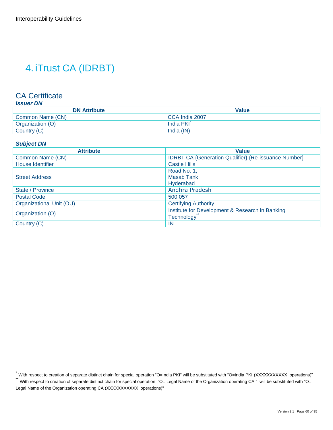## 4. iTrust CA (IDRBT)

### CA Certificate

| <b>DN Attribute</b> | <b>Value</b>   |
|---------------------|----------------|
| Common Name (CN)    | CCA India 2007 |
| Organization (O)    | India PKI      |
| Country (C)         | India (IN)     |

#### *Subject DN*

| <b>Attribute</b>         | <b>Value</b>                                                |
|--------------------------|-------------------------------------------------------------|
| Common Name (CN)         | <b>IDRBT CA {Generation Qualifier} {Re-issuance Number}</b> |
| House Identifier         | <b>Castle Hills</b>                                         |
| <b>Street Address</b>    | Road No. 1,                                                 |
|                          | Masab Tank,                                                 |
|                          | Hyderabad                                                   |
| State / Province         | Andhra Pradesh                                              |
| <b>Postal Code</b>       | 500 057                                                     |
| Organizational Unit (OU) | <b>Certifying Authority</b>                                 |
| Organization (O)         | Institute for Development & Research in Banking             |
|                          | Technology                                                  |
| Country (C)              | IN                                                          |

<sup>\*</sup> With respect to creation of separate distinct chain for special operation "O=India PKI" will be substituted with "O=India PKI (XXXXXXXXXXX operations)"

With respect to creation of separate distinct chain for special operation "O= Legal Name of the Organization operating CA " will be substituted with "O= Legal Name of the Organization operating CA (XXXXXXXXXX operations)"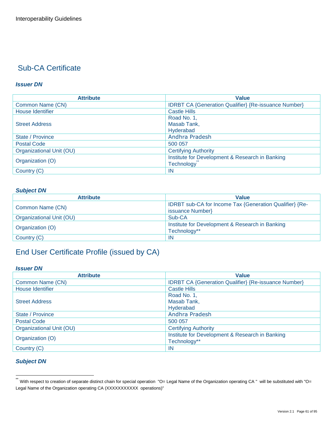#### *Issuer DN*

| <b>Attribute</b>         | <b>Value</b>                                                |
|--------------------------|-------------------------------------------------------------|
| Common Name (CN)         | <b>IDRBT CA {Generation Qualifier} {Re-issuance Number}</b> |
| House Identifier         | <b>Castle Hills</b>                                         |
| <b>Street Address</b>    | Road No. 1,                                                 |
|                          | Masab Tank,                                                 |
|                          | Hyderabad                                                   |
| State / Province         | Andhra Pradesh                                              |
| <b>Postal Code</b>       | 500 057                                                     |
| Organizational Unit (OU) | <b>Certifying Authority</b>                                 |
| Organization (O)         | Institute for Development & Research in Banking             |
|                          | Technology                                                  |
| Country (C)              | <b>IN</b>                                                   |

#### *Subject DN*

| <b>Attribute</b>         | <b>Value</b>                                                                |
|--------------------------|-----------------------------------------------------------------------------|
| Common Name (CN)         | IDRBT sub-CA for Income Tax {Generation Qualifier} {Re-<br>issuance Number} |
| Organizational Unit (OU) | Sub-CA                                                                      |
| Organization (O)         | Institute for Development & Research in Banking<br>Technology**             |
| Country (C)              | <b>IN</b>                                                                   |

## End User Certificate Profile (issued by CA)

#### *Issuer DN*

| <b>Attribute</b>         | <b>Value</b>                                                |
|--------------------------|-------------------------------------------------------------|
| Common Name (CN)         | <b>IDRBT CA {Generation Qualifier} {Re-issuance Number}</b> |
| <b>House Identifier</b>  | <b>Castle Hills</b>                                         |
| <b>Street Address</b>    | Road No. 1,                                                 |
|                          | Masab Tank,                                                 |
|                          | Hyderabad                                                   |
| State / Province         | Andhra Pradesh                                              |
| <b>Postal Code</b>       | 500 057                                                     |
| Organizational Unit (OU) | <b>Certifying Authority</b>                                 |
| Organization (O)         | Institute for Development & Research in Banking             |
|                          | Technology**                                                |
| Country (C)              | IN                                                          |

#### *Subject DN*

<sup>\*\*&</sup>lt;br>With respect to creation of separate distinct chain for special operation "O= Legal Name of the Organization operating CA " will be substituted with "O= Legal Name of the Organization operating CA (XXXXXXXXXX operations)"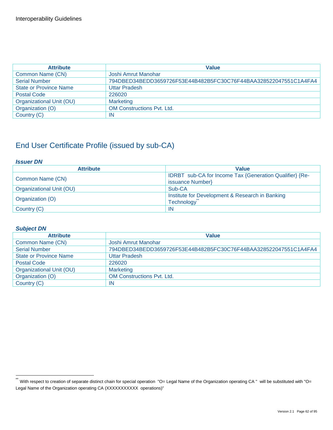| <b>Attribute</b>              | <b>Value</b>                                                     |
|-------------------------------|------------------------------------------------------------------|
| Common Name (CN)              | Joshi Amrut Manohar                                              |
| <b>Serial Number</b>          | 794DBED34BEDD3659726F53E44B482B5FC30C76F44BAA328522047551C1A4FA4 |
| <b>State or Province Name</b> | <b>Uttar Pradesh</b>                                             |
| <b>Postal Code</b>            | 226020                                                           |
| Organizational Unit (OU)      | <b>Marketing</b>                                                 |
| Organization (O)              | <b>OM Constructions Pvt. Ltd.</b>                                |
| Country (C)                   | IN                                                               |

#### *Issuer DN*

| <b>Attribute</b>         | Value                                                                       |
|--------------------------|-----------------------------------------------------------------------------|
| Common Name (CN)         | IDRBT sub-CA for Income Tax {Generation Qualifier} {Re-<br>issuance Number} |
| Organizational Unit (OU) | Sub-CA                                                                      |
| Organization (O)         | Institute for Development & Research in Banking<br><b>Technology</b>        |
| Country (C)              | <b>IN</b>                                                                   |

#### *Subject DN*

| <b>Attribute</b>              | <b>Value</b>                                                     |
|-------------------------------|------------------------------------------------------------------|
| Common Name (CN)              | Joshi Amrut Manohar                                              |
| <b>Serial Number</b>          | 794DBED34BEDD3659726F53E44B482B5FC30C76F44BAA328522047551C1A4FA4 |
| <b>State or Province Name</b> | <b>Uttar Pradesh</b>                                             |
| <b>Postal Code</b>            | 226020                                                           |
| Organizational Unit (OU)      | <b>Marketing</b>                                                 |
| Organization (O)              | <b>OM Constructions Pvt. Ltd.</b>                                |
| Country (C)                   | ΙN                                                               |

<sup>\*\*&</sup>lt;br>With respect to creation of separate distinct chain for special operation "O= Legal Name of the Organization operating CA " will be substituted with "O= Legal Name of the Organization operating CA (XXXXXXXXXX operations)"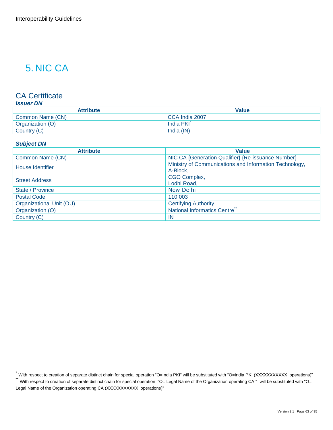## 5. NIC CA

### CA Certificate

| <b>Attribute</b> | Value          |
|------------------|----------------|
| Common Name (CN) | CCA India 2007 |
| Organization (O) | India PKI      |
| Country (C)      | India (IN)     |

#### *Subject DN*

| <b>Attribute</b>         | <b>Value</b>                                                       |
|--------------------------|--------------------------------------------------------------------|
| Common Name (CN)         | NIC CA {Generation Qualifier} {Re-issuance Number}                 |
| House Identifier         | Ministry of Communications and Information Technology,<br>A-Block, |
| <b>Street Address</b>    | CGO Complex,<br>Lodhi Road,                                        |
| State / Province         | <b>New Delhi</b>                                                   |
| <b>Postal Code</b>       | 110 003                                                            |
| Organizational Unit (OU) | <b>Certifying Authority</b>                                        |
| Organization (O)         | National Informatics Centre                                        |
| Country (C)              | <b>IN</b>                                                          |

<sup>\*</sup> With respect to creation of separate distinct chain for special operation "O=India PKI" will be substituted with "O=India PKI (XXXXXXXXXXX operations)"<br>"

With respect to creation of separate distinct chain for special operation "O= Legal Name of the Organization operating CA " will be substituted with "O= Legal Name of the Organization operating CA (XXXXXXXXXX operations)"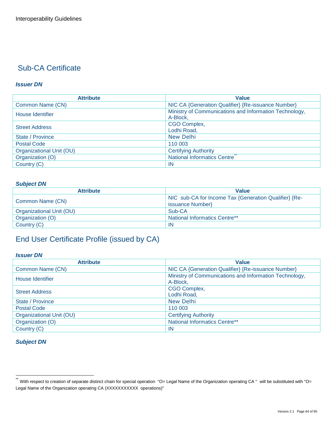#### *Issuer DN*

| <b>Attribute</b>         | <b>Value</b>                                                       |
|--------------------------|--------------------------------------------------------------------|
| Common Name (CN)         | NIC CA {Generation Qualifier} {Re-issuance Number}                 |
| House Identifier         | Ministry of Communications and Information Technology,<br>A-Block, |
| <b>Street Address</b>    | CGO Complex,<br>Lodhi Road,                                        |
| State / Province         | New Delhi                                                          |
| <b>Postal Code</b>       | 110 003                                                            |
| Organizational Unit (OU) | <b>Certifying Authority</b>                                        |
| Organization (O)         | National Informatics Centre                                        |
| Country (C)              | <b>IN</b>                                                          |

#### *Subject DN*

| <b>Attribute</b>         | <b>Value</b>                                                              |
|--------------------------|---------------------------------------------------------------------------|
| Common Name (CN)         | NIC sub-CA for Income Tax {Generation Qualifier} {Re-<br>issuance Number} |
| Organizational Unit (OU) | Sub-CA                                                                    |
| Organization (O)         | <b>National Informatics Centre**</b>                                      |
| Country (C)              | -IN                                                                       |

## End User Certificate Profile (issued by CA)

#### *Issuer DN*

| <b>Attribute</b>         | <b>Value</b>                                                       |
|--------------------------|--------------------------------------------------------------------|
| Common Name (CN)         | NIC CA {Generation Qualifier} {Re-issuance Number}                 |
| House Identifier         | Ministry of Communications and Information Technology,<br>A-Block, |
| <b>Street Address</b>    | CGO Complex,<br>Lodhi Road,                                        |
| State / Province         | <b>New Delhi</b>                                                   |
| <b>Postal Code</b>       | 110 003                                                            |
| Organizational Unit (OU) | <b>Certifying Authority</b>                                        |
| Organization (O)         | National Informatics Centre**                                      |
| Country (C)              | -IN                                                                |

#### *Subject DN*

 $\ddot{\phantom{1}}$ With respect to creation of separate distinct chain for special operation "O= Legal Name of the Organization operating CA " will be substituted with "O= Legal Name of the Organization operating CA (XXXXXXXXXX operations)"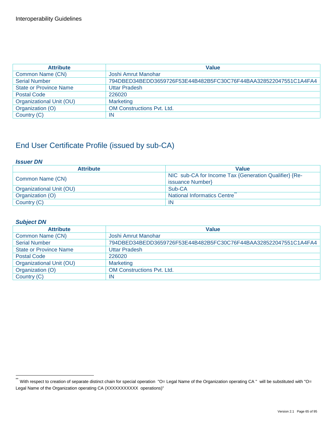| <b>Attribute</b>              | <b>Value</b>                                                     |
|-------------------------------|------------------------------------------------------------------|
| Common Name (CN)              | Joshi Amrut Manohar                                              |
| <b>Serial Number</b>          | 794DBED34BEDD3659726F53E44B482B5FC30C76F44BAA328522047551C1A4FA4 |
| <b>State or Province Name</b> | <b>Uttar Pradesh</b>                                             |
| <b>Postal Code</b>            | 226020                                                           |
| Organizational Unit (OU)      | <b>Marketing</b>                                                 |
| Organization (O)              | <b>OM Constructions Pyt. Ltd.</b>                                |
| Country (C)                   | IN                                                               |

#### *Issuer DN*

| <b>Attribute</b>         | <b>Value</b>                                          |
|--------------------------|-------------------------------------------------------|
| Common Name (CN)         | NIC sub-CA for Income Tax {Generation Qualifier} {Re- |
|                          | issuance Number}                                      |
| Organizational Unit (OU) | Sub-CA                                                |
| Organization (O)         | National Informatics Centre                           |
| Country (C)              | IN                                                    |

#### *Subject DN*

| <b>Attribute</b>              | <b>Value</b>                                                     |
|-------------------------------|------------------------------------------------------------------|
| Common Name (CN)              | Joshi Amrut Manohar                                              |
| <b>Serial Number</b>          | 794DBED34BEDD3659726F53E44B482B5FC30C76F44BAA328522047551C1A4FA4 |
| <b>State or Province Name</b> | <b>Uttar Pradesh</b>                                             |
| <b>Postal Code</b>            | 226020                                                           |
| Organizational Unit (OU)      | <b>Marketing</b>                                                 |
| Organization (O)              | <b>OM Constructions Pvt. Ltd.</b>                                |
| Country (C)                   | IN                                                               |

<sup>\*\*&</sup>lt;br>With respect to creation of separate distinct chain for special operation "O= Legal Name of the Organization operating CA " will be substituted with "O= Legal Name of the Organization operating CA (XXXXXXXXXX operations)"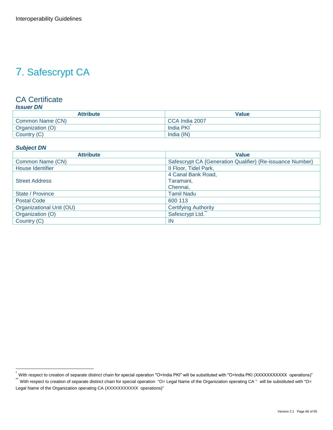## 7. Safescrypt CA

#### CA Certificate *Issuer DN*

| <b>Attribute</b> | <b>Value</b>   |
|------------------|----------------|
| Common Name (CN) | CCA India 2007 |
| Organization (O) | India PKI      |
| Country (C)      | India (IN)     |

#### *Subject DN*

| <b>Attribute</b>         | <b>Value</b>                                              |
|--------------------------|-----------------------------------------------------------|
| Common Name (CN)         | Safescrypt CA {Generation Qualifier} {Re-issuance Number} |
| House Identifier         | Il Floor, Tidel Park,                                     |
|                          | 4 Canal Bank Road,                                        |
| <b>Street Address</b>    | Taramani,                                                 |
|                          | Chennai,                                                  |
| State / Province         | <b>Tamil Nadu</b>                                         |
| <b>Postal Code</b>       | 600 113                                                   |
| Organizational Unit (OU) | <b>Certifying Authority</b>                               |
| Organization (O)         | Safescrypt Ltd.                                           |
| Country (C)              | <b>IN</b>                                                 |

<sup>\*</sup> With respect to creation of separate distinct chain for special operation "O=India PKI" will be substituted with "O=India PKI (XXXXXXXXXXX operations)"<br>"

With respect to creation of separate distinct chain for special operation "O= Legal Name of the Organization operating CA " will be substituted with "O= Legal Name of the Organization operating CA (XXXXXXXXXX operations)"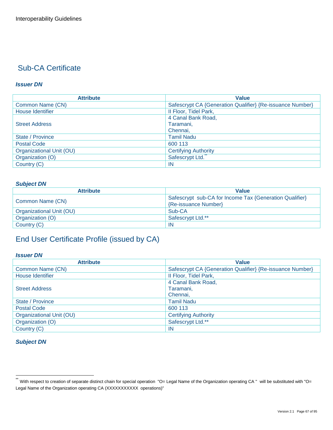#### *Issuer DN*

| <b>Attribute</b>         | <b>Value</b>                                              |
|--------------------------|-----------------------------------------------------------|
| Common Name (CN)         | Safescrypt CA {Generation Qualifier} {Re-issuance Number} |
| House Identifier         | II Floor, Tidel Park,                                     |
|                          | 4 Canal Bank Road,                                        |
| <b>Street Address</b>    | Taramani,                                                 |
|                          | Chennai.                                                  |
| State / Province         | <b>Tamil Nadu</b>                                         |
| <b>Postal Code</b>       | 600 113                                                   |
| Organizational Unit (OU) | <b>Certifying Authority</b>                               |
| Organization (O)         | Safescrypt Ltd.                                           |
| Country (C)              | <b>IN</b>                                                 |

#### *Subject DN*

| <b>Attribute</b>         | <b>Value</b>                                            |
|--------------------------|---------------------------------------------------------|
| Common Name (CN)         | Safescrypt sub-CA for Income Tax {Generation Qualifier} |
|                          | {Re-issuance Number}                                    |
| Organizational Unit (OU) | Sub-CA                                                  |
| Organization (O)         | Safescrypt Ltd.**                                       |
| Country (C)              | <b>IN</b>                                               |

## End User Certificate Profile (issued by CA)

#### *Issuer DN*

| <b>Attribute</b>         | <b>Value</b>                                              |
|--------------------------|-----------------------------------------------------------|
| Common Name (CN)         | Safescrypt CA {Generation Qualifier} {Re-issuance Number} |
| House Identifier         | II Floor, Tidel Park,                                     |
|                          | 4 Canal Bank Road,                                        |
| <b>Street Address</b>    | Taramani,                                                 |
|                          | Chennai.                                                  |
| State / Province         | <b>Tamil Nadu</b>                                         |
| Postal Code              | 600 113                                                   |
| Organizational Unit (OU) | <b>Certifying Authority</b>                               |
| Organization (O)         | Safescrypt Ltd.**                                         |
| Country (C)              | -IN                                                       |

#### *Subject DN*

 $\ddot{\phantom{1}}$ With respect to creation of separate distinct chain for special operation "O= Legal Name of the Organization operating CA " will be substituted with "O= Legal Name of the Organization operating CA (XXXXXXXXXX operations)"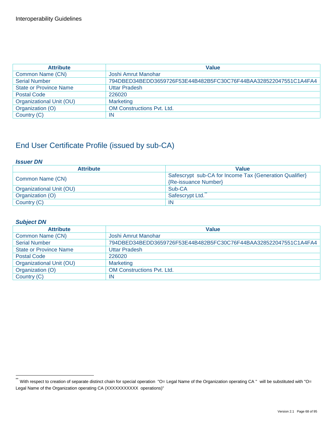| <b>Attribute</b>              | <b>Value</b>                                                     |
|-------------------------------|------------------------------------------------------------------|
| Common Name (CN)              | Joshi Amrut Manohar                                              |
| <b>Serial Number</b>          | 794DBED34BEDD3659726F53E44B482B5FC30C76F44BAA328522047551C1A4FA4 |
| <b>State or Province Name</b> | <b>Uttar Pradesh</b>                                             |
| <b>Postal Code</b>            | 226020                                                           |
| Organizational Unit (OU)      | <b>Marketing</b>                                                 |
| Organization (O)              | <b>OM Constructions Pyt. Ltd.</b>                                |
| Country (C)                   | IN                                                               |

#### *Issuer DN*

| <b>Attribute</b>         | <b>Value</b>                                            |
|--------------------------|---------------------------------------------------------|
| Common Name (CN)         | Safescrypt sub-CA for Income Tax {Generation Qualifier} |
|                          | {Re-issuance Number}                                    |
| Organizational Unit (OU) | Sub-CA                                                  |
| Organization (O)         | Safescrypt Ltd.                                         |
| Country (C)              | -IN                                                     |

#### *Subject DN*

| <b>Attribute</b>              | <b>Value</b>                                                     |
|-------------------------------|------------------------------------------------------------------|
| Common Name (CN)              | Joshi Amrut Manohar                                              |
| <b>Serial Number</b>          | 794DBED34BEDD3659726F53E44B482B5FC30C76F44BAA328522047551C1A4FA4 |
| <b>State or Province Name</b> | <b>Uttar Pradesh</b>                                             |
| <b>Postal Code</b>            | 226020                                                           |
| Organizational Unit (OU)      | <b>Marketing</b>                                                 |
| Organization (O)              | <b>OM Constructions Pvt. Ltd.</b>                                |
| Country (C)                   | IN                                                               |

<sup>\*\*&</sup>lt;br>With respect to creation of separate distinct chain for special operation "O= Legal Name of the Organization operating CA " will be substituted with "O= Legal Name of the Organization operating CA (XXXXXXXXXX operations)"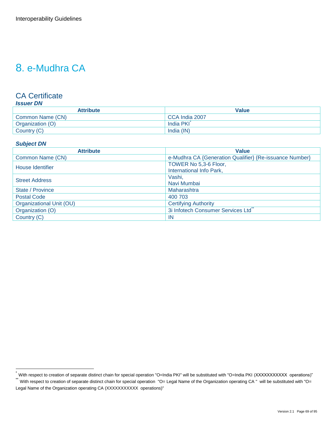## 8. e-Mudhra CA

### CA Certificate

| <b>Attribute</b> | <b>Value</b>   |
|------------------|----------------|
| Common Name (CN) | CCA India 2007 |
| Organization (O) | India PKI      |
| Country (C)      | India (IN)     |

#### *Subject DN*

| <b>Attribute</b>         | <b>Value</b>                                            |
|--------------------------|---------------------------------------------------------|
| Common Name (CN)         | e-Mudhra CA {Generation Qualifier} {Re-issuance Number} |
| House Identifier         | TOWER No 5,3-6 Floor,                                   |
|                          | International Info Park,                                |
| <b>Street Address</b>    | Vashi,                                                  |
|                          | Navi Mumbai                                             |
| State / Province         | Maharashtra                                             |
| <b>Postal Code</b>       | 400 703                                                 |
| Organizational Unit (OU) | <b>Certifying Authority</b>                             |
| Organization (O)         | 3i Infotech Consumer Services Ltd                       |
| Country (C)              | IN                                                      |

<sup>\*</sup> With respect to creation of separate distinct chain for special operation "O=India PKI" will be substituted with "O=India PKI (XXXXXXXXXXX operations)"<br>"With respect to creation of separate distinct chain for special ope

With respect to creation of separate distinct chain for special operation "O= Legal Name of the Organization operating CA " will be substituted with "O= Legal Name of the Organization operating CA (XXXXXXXXXX operations)"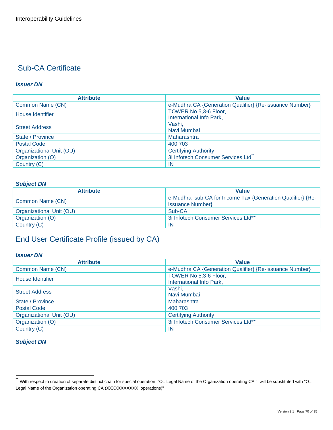#### *Issuer DN*

| <b>Attribute</b>         | <b>Value</b>                                            |
|--------------------------|---------------------------------------------------------|
| Common Name (CN)         | e-Mudhra CA {Generation Qualifier} {Re-issuance Number} |
| House Identifier         | TOWER No 5,3-6 Floor,<br>International Info Park,       |
| <b>Street Address</b>    | Vashi,<br>Navi Mumbai                                   |
| State / Province         | Maharashtra                                             |
| <b>Postal Code</b>       | 400 703                                                 |
| Organizational Unit (OU) | <b>Certifying Authority</b>                             |
| Organization (O)         | 3i Infotech Consumer Services Ltd                       |
| Country (C)              | -IN                                                     |

#### *Subject DN*

| <b>Attribute</b>         | <b>Value</b>                                               |
|--------------------------|------------------------------------------------------------|
|                          | e-Mudhra sub-CA for Income Tax {Generation Qualifier} {Re- |
| Common Name (CN)         | issuance Number}                                           |
| Organizational Unit (OU) | Sub-CA                                                     |
| Organization (O)         | 3i Infotech Consumer Services Ltd**                        |
| Country (C)              | <b>IN</b>                                                  |

## End User Certificate Profile (issued by CA)

#### *Issuer DN*

| <b>Attribute</b>         | <b>Value</b>                                            |
|--------------------------|---------------------------------------------------------|
| Common Name (CN)         | e-Mudhra CA {Generation Qualifier} {Re-issuance Number} |
| House Identifier         | TOWER No 5,3-6 Floor,<br>International Info Park,       |
| <b>Street Address</b>    | Vashi,<br>Navi Mumbai                                   |
| State / Province         | Maharashtra                                             |
| Postal Code              | 400 703                                                 |
| Organizational Unit (OU) | <b>Certifying Authority</b>                             |
| Organization (O)         | 3i Infotech Consumer Services Ltd**                     |
| Country (C)              | -IN                                                     |

#### *Subject DN*

 $\ddot{\phantom{1}}$ With respect to creation of separate distinct chain for special operation "O= Legal Name of the Organization operating CA " will be substituted with "O= Legal Name of the Organization operating CA (XXXXXXXXXX operations)"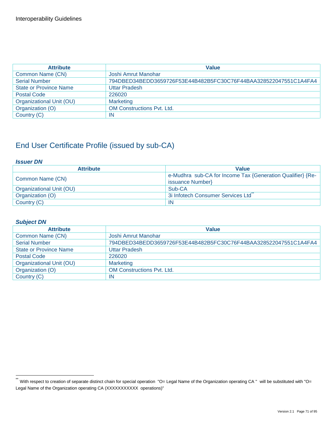| <b>Attribute</b>              | <b>Value</b>                                                     |
|-------------------------------|------------------------------------------------------------------|
| Common Name (CN)              | Joshi Amrut Manohar                                              |
| <b>Serial Number</b>          | 794DBED34BEDD3659726F53E44B482B5FC30C76F44BAA328522047551C1A4FA4 |
| <b>State or Province Name</b> | <b>Uttar Pradesh</b>                                             |
| <b>Postal Code</b>            | 226020                                                           |
| Organizational Unit (OU)      | <b>Marketing</b>                                                 |
| Organization (O)              | <b>OM Constructions Pyt. Ltd.</b>                                |
| Country (C)                   | IN                                                               |

#### *Issuer DN*

| <b>Attribute</b>         | <b>Value</b>                                               |
|--------------------------|------------------------------------------------------------|
| Common Name (CN)         | e-Mudhra sub-CA for Income Tax {Generation Qualifier} {Re- |
|                          | issuance Number}                                           |
| Organizational Unit (OU) | Sub-CA                                                     |
| Organization (O)         | 3i Infotech Consumer Services Ltd                          |
| Country (C)              | IN                                                         |

#### *Subject DN*

| <b>Attribute</b>              | <b>Value</b>                                                     |
|-------------------------------|------------------------------------------------------------------|
| Common Name (CN)              | Joshi Amrut Manohar                                              |
| <b>Serial Number</b>          | 794DBED34BEDD3659726F53E44B482B5FC30C76F44BAA328522047551C1A4FA4 |
| <b>State or Province Name</b> | <b>Uttar Pradesh</b>                                             |
| <b>Postal Code</b>            | 226020                                                           |
| Organizational Unit (OU)      | <b>Marketing</b>                                                 |
| Organization (O)              | <b>OM Constructions Pvt. Ltd.</b>                                |
| Country (C)                   | IN                                                               |

<sup>\*\*&</sup>lt;br>With respect to creation of separate distinct chain for special operation "O= Legal Name of the Organization operating CA " will be substituted with "O= Legal Name of the Organization operating CA (XXXXXXXXXX operations)"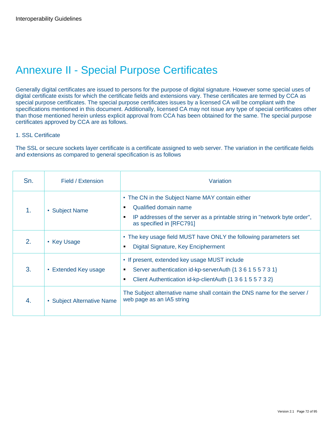## Annexure II - Special Purpose Certificates

Generally digital certificates are issued to persons for the purpose of digital signature. However some special uses of digital certificate exists for which the certificate fields and extensions vary. These certificates are termed by CCA as special purpose certificates. The special purpose certificates issues by a licensed CA will be compliant with the specifications mentioned in this document. Additionally, licensed CA may not issue any type of special certificates other than those mentioned herein unless explicit approval from CCA has been obtained for the same. The special purpose certificates approved by CCA are as follows.

#### 1. SSL Certificate

The SSL or secure sockets layer certificate is a certificate assigned to web server. The variation in the certificate fields and extensions as compared to general specification is as follows

| Sn. | Field / Extension          | Variation                                                                                                                                                                              |
|-----|----------------------------|----------------------------------------------------------------------------------------------------------------------------------------------------------------------------------------|
| 1.  | • Subject Name             | • The CN in the Subject Name MAY contain either<br>Qualified domain name<br>٠<br>IP addresses of the server as a printable string in "network byte order",<br>as specified in [RFC791] |
| 2.  | • Key Usage                | • The key usage field MUST have ONLY the following parameters set<br>Digital Signature, Key Encipherment                                                                               |
| 3.  | • Extended Key usage       | • If present, extended key usage MUST include<br>Server authentication id-kp-serverAuth {1 3 6 1 5 5 7 3 1}<br>Client Authentication id-kp-clientAuth {1 3 6 1 5 5 7 3 2}<br>п         |
| 4.  | • Subject Alternative Name | The Subject alternative name shall contain the DNS name for the server /<br>web page as an IA5 string                                                                                  |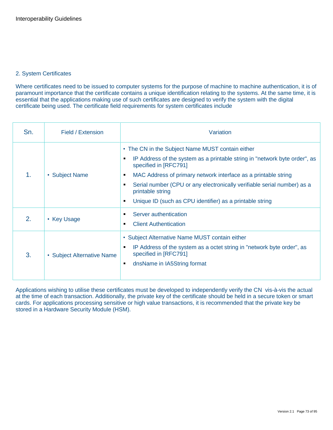#### 2. System Certificates

Where certificates need to be issued to computer systems for the purpose of machine to machine authentication, it is of paramount importance that the certificate contains a unique identification relating to the systems. At the same time, it is essential that the applications making use of such certificates are designed to verify the system with the digital certificate being used. The certificate field requirements for system certificates include

| Sn. | Field / Extension          | Variation                                                                                                                                                                                                                                                                                                                                                                                           |
|-----|----------------------------|-----------------------------------------------------------------------------------------------------------------------------------------------------------------------------------------------------------------------------------------------------------------------------------------------------------------------------------------------------------------------------------------------------|
| 1.  | • Subject Name             | • The CN in the Subject Name MUST contain either<br>IP Address of the system as a printable string in "network byte order", as<br>٠<br>specified in [RFC791]<br>MAC Address of primary network interface as a printable string<br>٠<br>Serial number (CPU or any electronically verifiable serial number) as a<br>printable string<br>Unique ID (such as CPU identifier) as a printable string<br>٠ |
| 2.  | • Key Usage                | Server authentication<br>٠<br><b>Client Authentication</b><br>٠                                                                                                                                                                                                                                                                                                                                     |
| 3.  | • Subject Alternative Name | • Subject Alternative Name MUST contain either<br>IP Address of the system as a octet string in "network byte order", as<br>٠<br>specified in [RFC791]<br>dnsName in IA5String format<br>٠                                                                                                                                                                                                          |

Applications wishing to utilise these certificates must be developed to independently verify the CN vis-à-vis the actual at the time of each transaction. Additionally, the private key of the certificate should be held in a secure token or smart cards. For applications processing sensitive or high value transactions, it is recommended that the private key be stored in a Hardware Security Module (HSM).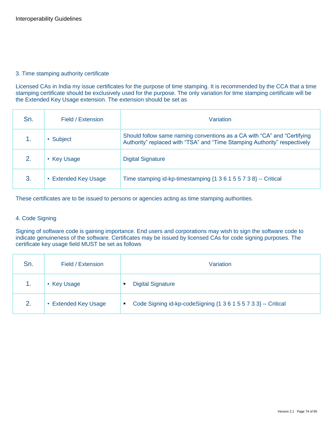#### 3. Time stamping authority certificate

Licensed CAs in India my issue certificates for the purpose of time stamping. It is recommended by the CCA that a time stamping certificate should be exclusively used for the purpose. The only variation for time stamping certificate will be the Extended Key Usage extension. The extension should be set as

| Sn. | Field / Extension    | Variation                                                                                                                                            |
|-----|----------------------|------------------------------------------------------------------------------------------------------------------------------------------------------|
|     | • Subject            | Should follow same naming conventions as a CA with "CA" and "Certifying<br>Authority" replaced with "TSA" and "Time Stamping Authority" respectively |
| 2.  | • Key Usage          | <b>Digital Signature</b>                                                                                                                             |
| 3.  | • Extended Key Usage | Time stamping id-kp-timestamping $\{1\ 3\ 6\ 1\ 5\ 5\ 7\ 3\ 8\}$ -- Critical                                                                         |

These certificates are to be issued to persons or agencies acting as time stamping authorities.

#### 4. Code Signing

Signing of software code is gaining importance. End users and corporations may wish to sign the software code to indicate genuineness of the software. Certificates may be issued by licensed CAs for code signing purposes. The certificate key usage field MUST be set as follows

| Sn. | Field / Extension    | Variation                                                           |  |  |
|-----|----------------------|---------------------------------------------------------------------|--|--|
|     | • Key Usage          | <b>Digital Signature</b><br>٠                                       |  |  |
| 2.  | • Extended Key Usage | Code Signing id-kp-codeSigning {1 3 6 1 5 5 7 3 3} -- Critical<br>٠ |  |  |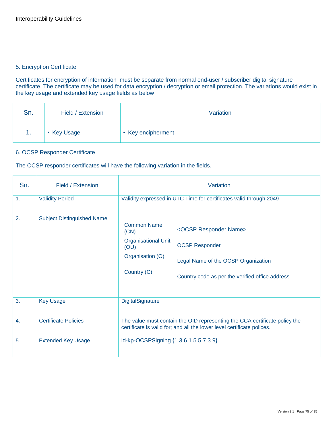#### 5. Encryption Certificate

Certificates for encryption of information must be separate from normal end-user / subscriber digital signature certificate. The certificate may be used for data encryption / decryption or email protection. The variations would exist in the key usage and extended key usage fields as below

| Sn. | Field / Extension | Variation          |
|-----|-------------------|--------------------|
| т.  | • Key Usage       | • Key encipherment |

#### 6. OCSP Responder Certificate

The OCSP responder certificates will have the following variation in the fields.

| Sn.              | Field / Extension                 | Variation                                                                                           |                                                                                                                                                          |  |  |  |
|------------------|-----------------------------------|-----------------------------------------------------------------------------------------------------|----------------------------------------------------------------------------------------------------------------------------------------------------------|--|--|--|
| 1.               | <b>Validity Period</b>            |                                                                                                     | Validity expressed in UTC Time for certificates valid through 2049                                                                                       |  |  |  |
| 2.               | <b>Subject Distinguished Name</b> | <b>Common Name</b><br>(CN)<br><b>Organisational Unit</b><br>(OU)<br>Organisation (O)<br>Country (C) | <ocsp name="" responder=""><br/><b>OCSP Responder</b><br/>Legal Name of the OCSP Organization<br/>Country code as per the verified office address</ocsp> |  |  |  |
| 3.               | <b>Key Usage</b>                  | DigitalSignature                                                                                    |                                                                                                                                                          |  |  |  |
| $\overline{4}$ . | <b>Certificate Policies</b>       |                                                                                                     | The value must contain the OID representing the CCA certificate policy the<br>certificate is valid for; and all the lower level certificate polices.     |  |  |  |
| 5.               | <b>Extended Key Usage</b>         | id-kp-OCSPSigning {1 3 6 1 5 5 7 3 9}                                                               |                                                                                                                                                          |  |  |  |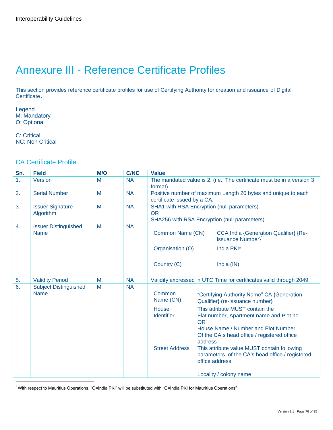# Annexure III - Reference Certificate Profiles

This section provides reference certificate profiles for use of Certifying Authority for creation and issuance of Digital Certificate.

Legend M: Mandatory O: Optional

C: Critical NC: Non Critical

### CA Certificate Profile

| Sn.              | <b>Field</b>                                | M/O | <b>C/NC</b> | <b>Value</b>                |           |                                                                                                                                                                 |
|------------------|---------------------------------------------|-----|-------------|-----------------------------|-----------|-----------------------------------------------------------------------------------------------------------------------------------------------------------------|
| 1.               | Version                                     | M   | <b>NA</b>   | format)                     |           | The mandated value is 2. (i.e., The certificate must be in a version 3                                                                                          |
| 2.               | <b>Serial Number</b>                        | M   | <b>NA</b>   | certificate issued by a CA. |           | Positive number of maximum Length 20 bytes and unique to each                                                                                                   |
| 3.               | <b>Issuer Signature</b><br>Algorithm        | M   | <b>NA</b>   | <b>OR</b>                   |           | SHA1 with RSA Encryption (null parameters)<br>SHA256 with RSA Encryption (null parameters)                                                                      |
| $\overline{4}$ . | <b>Issuer Distinguished</b><br><b>Name</b>  | M   | <b>NA</b>   | Common Name (CN)            |           | CCA India {Generation Qualifier} {Re-<br>issuance Number}                                                                                                       |
|                  |                                             |     |             | Organisation (O)            |           | India PKI*                                                                                                                                                      |
|                  |                                             |     |             | Country (C)                 |           | India (IN)                                                                                                                                                      |
| 5.               | <b>Validity Period</b>                      | M   | <b>NA</b>   |                             |           | Validity expressed in UTC Time for certificates valid through 2049                                                                                              |
| 6.               | <b>Subject Distinguished</b><br><b>Name</b> | M   | <b>NA</b>   | Common<br>Name (CN)         |           | "Certifying Authority Name" CA {Generation<br>Qualifier} (re-issuance number)                                                                                   |
|                  |                                             |     |             | House<br><b>Identifier</b>  | <b>OR</b> | This attribute MUST contain the<br>Flat number, Apartment name and Plot no.<br>House Name / Number and Plot Number                                              |
|                  |                                             |     |             | <b>Street Address</b>       | address   | Of the CA;s head office / registered office<br>This attribute value MUST contain following<br>parameters of the CA's head office / registered<br>office address |
|                  |                                             |     |             |                             |           | Locality / colony name                                                                                                                                          |

\* With respect to Mauritius Operations, "O=India PKI" will be substituted with "O=India PKI for Mauritius Operations"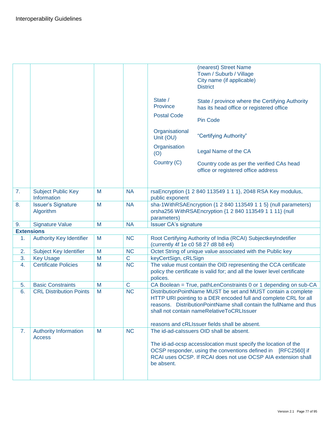|                   |                                               |   |             |                                     | (nearest) Street Name<br>Town / Suburb / Village<br>City name (if applicable)                                                                                                                                                                        |
|-------------------|-----------------------------------------------|---|-------------|-------------------------------------|------------------------------------------------------------------------------------------------------------------------------------------------------------------------------------------------------------------------------------------------------|
|                   |                                               |   |             |                                     | <b>District</b>                                                                                                                                                                                                                                      |
|                   |                                               |   |             | State /<br>Province                 | State / province where the Certifying Authority<br>has its head office or registered office                                                                                                                                                          |
|                   |                                               |   |             | <b>Postal Code</b>                  | <b>Pin Code</b>                                                                                                                                                                                                                                      |
|                   |                                               |   |             | Organisational<br>Unit (OU)         | "Certifying Authority"                                                                                                                                                                                                                               |
|                   |                                               |   |             | Organisation<br>(O)                 | Legal Name of the CA                                                                                                                                                                                                                                 |
|                   |                                               |   |             | Country (C)                         | Country code as per the verified CAs head<br>office or registered office address                                                                                                                                                                     |
| 7.                | <b>Subject Public Key</b><br>Information      | M | <b>NA</b>   | public exponent                     | rsaEncryption {1 2 840 113549 1 1 1}, 2048 RSA Key modulus,                                                                                                                                                                                          |
| 8.                | <b>Issuer's Signature</b><br>Algorithm        | M | <b>NA</b>   | parameters)                         | sha-1WithRSAEncryption {1 2 840 113549 1 1 5} (null parameters)<br>orsha256 WithRSAEncryption {1 2 840 113549 1 1 11} (null                                                                                                                          |
| 9.                | <b>Signature Value</b>                        | M | <b>NA</b>   | <b>Issuer CA's signature</b>        |                                                                                                                                                                                                                                                      |
| <b>Extensions</b> |                                               |   |             |                                     |                                                                                                                                                                                                                                                      |
| 1.                | <b>Authority Key Identifier</b>               | M | <b>NC</b>   | (currently 4f 1e c0 58 27 d8 b8 e4) | Root Certifying Authority of India (RCAI) SubjectkeyIndetifier                                                                                                                                                                                       |
| 2.                | Subject Key Identifier                        | M | <b>NC</b>   |                                     | Octet String of unique value associated with the Public key                                                                                                                                                                                          |
| 3.                | <b>Key Usage</b>                              | M | $\mathsf C$ | keyCertSign, cRLSign                |                                                                                                                                                                                                                                                      |
| 4.                | <b>Certificate Policies</b>                   | M | <b>NC</b>   | polices.                            | The value must contain the OID representing the CCA certificate<br>policy the certificate is valid for; and all the lower level certificate                                                                                                          |
| 5.                | <b>Basic Constraints</b>                      | M | $\mathbf C$ |                                     | CA Boolean = True, pathLenConstraints 0 or 1 depending on sub-CA                                                                                                                                                                                     |
| 6.                | <b>CRL Distribution Points</b>                | M | <b>NC</b>   |                                     | DistributionPointName MUST be set and MUST contain a complete<br>HTTP URI pointing to a DER encoded full and complete CRL for all<br>reasons. DistributionPointName shall contain the fullName and thus<br>shall not contain nameRelativeToCRLIssuer |
|                   |                                               |   |             |                                     | reasons and cRLIssuer fields shall be absent.                                                                                                                                                                                                        |
| 7.                | <b>Authority Information</b><br><b>Access</b> | M | <b>NC</b>   |                                     | The id-ad-calssuers OID shall be absent.                                                                                                                                                                                                             |
|                   |                                               |   |             | be absent.                          | The id-ad-ocsp accesslocation must specify the location of the<br>OCSP responder, using the conventions defined in [RFC2560] if<br>RCAI uses OCSP. If RCAI does not use OCSP AIA extension shall                                                     |
|                   |                                               |   |             |                                     |                                                                                                                                                                                                                                                      |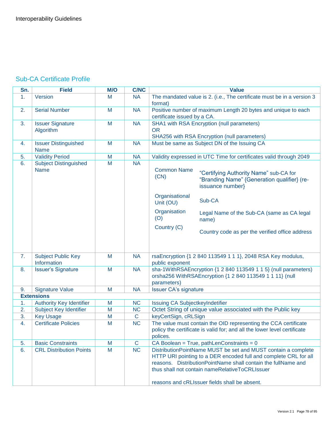### Sub-CA Certificate Profile

| Sn. | <b>Field</b>                                | M/O | <b>C/NC</b>  | <b>Value</b>                                                                                                                                                                                                                                                                                          |  |
|-----|---------------------------------------------|-----|--------------|-------------------------------------------------------------------------------------------------------------------------------------------------------------------------------------------------------------------------------------------------------------------------------------------------------|--|
| 1.  | Version                                     | M   | <b>NA</b>    | The mandated value is 2. (i.e., The certificate must be in a version 3<br>format)                                                                                                                                                                                                                     |  |
| 2.  | <b>Serial Number</b>                        | M   | <b>NA</b>    | Positive number of maximum Length 20 bytes and unique to each<br>certificate issued by a CA.                                                                                                                                                                                                          |  |
| 3.  | <b>Issuer Signature</b><br>Algorithm        | M   | <b>NA</b>    | SHA1 with RSA Encryption (null parameters)<br><b>OR</b><br>SHA256 with RSA Encryption (null parameters)                                                                                                                                                                                               |  |
| 4.  | <b>Issuer Distinguished</b><br><b>Name</b>  | M   | <b>NA</b>    | Must be same as Subject DN of the Issuing CA                                                                                                                                                                                                                                                          |  |
| 5.  | <b>Validity Period</b>                      | M   | <b>NA</b>    | Validity expressed in UTC Time for certificates valid through 2049                                                                                                                                                                                                                                    |  |
| 6.  | <b>Subject Distinguished</b><br><b>Name</b> | M   | <b>NA</b>    | <b>Common Name</b><br>"Certifying Authority Name" sub-CA for<br>(CN)<br>"Branding Name" {Generation qualifier} (re-<br>issuance number}<br>Organisational<br>Sub-CA<br>Unit (OU)                                                                                                                      |  |
|     |                                             |     |              | Organisation<br>Legal Name of the Sub-CA (same as CA legal<br>(O)<br>name)                                                                                                                                                                                                                            |  |
|     |                                             |     |              | Country (C)<br>Country code as per the verified office address                                                                                                                                                                                                                                        |  |
| 7.  | <b>Subject Public Key</b><br>Information    | M   | <b>NA</b>    | rsaEncryption {1 2 840 113549 1 1 1}, 2048 RSA Key modulus,<br>public exponent                                                                                                                                                                                                                        |  |
| 8.  | <b>Issuer's Signature</b>                   | M   | <b>NA</b>    | sha-1WithRSAEncryption {1 2 840 113549 1 1 5} (null parameters)<br>orsha256 WithRSAEncryption {1 2 840 113549 1 1 11} (null<br>parameters)                                                                                                                                                            |  |
| 9.  | <b>Signature Value</b>                      | M   | <b>NA</b>    | <b>Issuer CA's signature</b>                                                                                                                                                                                                                                                                          |  |
|     | <b>Extensions</b>                           |     |              |                                                                                                                                                                                                                                                                                                       |  |
| 1.  | <b>Authority Key Identifier</b>             | M   | <b>NC</b>    | Issuing CA SubjectkeyIndetifier                                                                                                                                                                                                                                                                       |  |
| 2.  | <b>Subject Key Identifier</b>               | M   | <b>NC</b>    | Octet String of unique value associated with the Public key                                                                                                                                                                                                                                           |  |
| 3.  | <b>Key Usage</b>                            | M   | $\mathsf{C}$ | keyCertSign, cRLSign                                                                                                                                                                                                                                                                                  |  |
| 4.  | <b>Certificate Policies</b>                 | M   | <b>NC</b>    | The value must contain the OID representing the CCA certificate<br>policy the certificate is valid for; and all the lower level certificate<br>polices.                                                                                                                                               |  |
| 5.  | <b>Basic Constraints</b>                    | M   | $\mathsf{C}$ | CA Boolean = True, pathLenConstraints = $0$                                                                                                                                                                                                                                                           |  |
| 6.  | <b>CRL Distribution Points</b>              | M   | <b>NC</b>    | DistributionPointName MUST be set and MUST contain a complete<br>HTTP URI pointing to a DER encoded full and complete CRL for all<br>reasons. DistributionPointName shall contain the fullName and<br>thus shall not contain nameRelativeToCRLIssuer<br>reasons and cRLIssuer fields shall be absent. |  |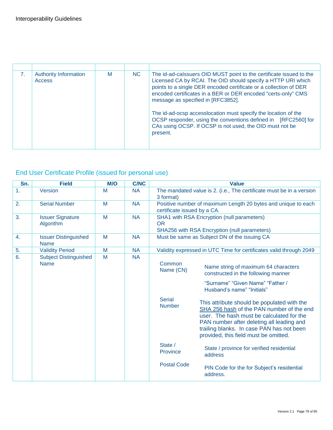| 7 <sub>1</sub> | <b>Authority Information</b><br>Access | M | NC. | The id-ad-calssuers OID MUST point to the certificate issued to the<br>Licensed CA by RCAI. The OID should specify a HTTP URI which<br>points to a single DER encoded certificate or a collection of DER<br>encoded certificates in a BER or DER encoded "certs-only" CMS<br>message as specified in [RFC3852].<br>The id-ad-ocsp accesslocation must specify the location of the<br>OCSP responder, using the conventions defined in [RFC2560] for<br>CAs using OCSP. If OCSP is not used, the OID must not be<br>present. |
|----------------|----------------------------------------|---|-----|-----------------------------------------------------------------------------------------------------------------------------------------------------------------------------------------------------------------------------------------------------------------------------------------------------------------------------------------------------------------------------------------------------------------------------------------------------------------------------------------------------------------------------|

## End User Certificate Profile (issued for personal use)

| Sn. | <b>Field</b>                                | M/O | <b>C/NC</b> | <b>Value</b>                                          |                                                                                                                                                                                                                                                                                                                                                                                                                           |  |
|-----|---------------------------------------------|-----|-------------|-------------------------------------------------------|---------------------------------------------------------------------------------------------------------------------------------------------------------------------------------------------------------------------------------------------------------------------------------------------------------------------------------------------------------------------------------------------------------------------------|--|
| 1.  | Version                                     | M   | <b>NA</b>   | 3 format)                                             | The mandated value is 2. (i.e., The certificate must be in a version                                                                                                                                                                                                                                                                                                                                                      |  |
| 2.  | <b>Serial Number</b>                        | M   | <b>NA</b>   | certificate issued by a CA.                           | Positive number of maximum Length 20 bytes and unique to each                                                                                                                                                                                                                                                                                                                                                             |  |
| 3.  | <b>Issuer Signature</b><br>Algorithm        | M   | <b>NA</b>   | <b>OR</b>                                             | SHA1 with RSA Encryption (null parameters)<br>SHA256 with RSA Encryption (null parameters)                                                                                                                                                                                                                                                                                                                                |  |
| 4.  | <b>Issuer Distinguished</b><br><b>Name</b>  | M   | <b>NA</b>   |                                                       | Must be same as Subject DN of the issuing CA                                                                                                                                                                                                                                                                                                                                                                              |  |
| 5.  | <b>Validity Period</b>                      | M   | <b>NA</b>   |                                                       | Validity expressed in UTC Time for certificates valid through 2049                                                                                                                                                                                                                                                                                                                                                        |  |
| 6.  | <b>Subject Distinguished</b><br><b>Name</b> | M   | <b>NA</b>   | Common<br>Name (CN)<br><b>Serial</b><br><b>Number</b> | Name string of maximum 64 characters<br>constructed in the following manner<br>"Surname" "Given Name" "Father /<br>Husband's name" "Initials"<br>This attribute should be populated with the<br>SHA 256 hash of the PAN number of the end<br>user. The hash must be calculated for the<br>PAN number after deleting all leading and<br>trailing blanks. In case PAN has not been<br>provided, this field must be omitted. |  |
|     |                                             |     |             | State /<br>Province                                   | State / province for verified residential<br>address                                                                                                                                                                                                                                                                                                                                                                      |  |
|     |                                             |     |             | <b>Postal Code</b>                                    | PIN Code for the for Subject's residential<br>address.                                                                                                                                                                                                                                                                                                                                                                    |  |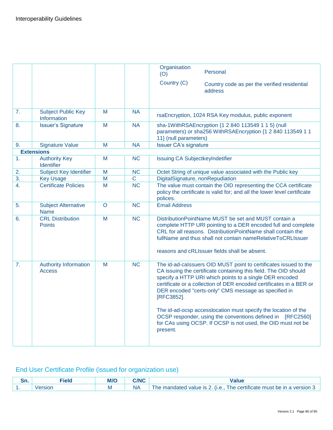|                |                                               |         |                | Organisation                                                                                                                                                                                                                                                                                                                                                                                                                                                                                                                                             |
|----------------|-----------------------------------------------|---------|----------------|----------------------------------------------------------------------------------------------------------------------------------------------------------------------------------------------------------------------------------------------------------------------------------------------------------------------------------------------------------------------------------------------------------------------------------------------------------------------------------------------------------------------------------------------------------|
|                |                                               |         |                | Personal<br>(O)                                                                                                                                                                                                                                                                                                                                                                                                                                                                                                                                          |
|                |                                               |         |                | Country (C)<br>Country code as per the verified residential<br>address                                                                                                                                                                                                                                                                                                                                                                                                                                                                                   |
|                |                                               |         |                |                                                                                                                                                                                                                                                                                                                                                                                                                                                                                                                                                          |
| 7.             | <b>Subject Public Key</b><br>Information      | M       | <b>NA</b>      | rsaEncryption, 1024 RSA Key modulus, public exponent                                                                                                                                                                                                                                                                                                                                                                                                                                                                                                     |
| 8.             | <b>Issuer's Signature</b>                     | M       | <b>NA</b>      | sha-1WithRSAEncryption {1 2 840 113549 1 1 5} (null<br>parameters) or sha256 WithRSAEncryption {1 2 840 113549 1 1<br>11} (null parameters)                                                                                                                                                                                                                                                                                                                                                                                                              |
| 9.             | <b>Signature Value</b>                        | M       | <b>NA</b>      | <b>Issuer CA's signature</b>                                                                                                                                                                                                                                                                                                                                                                                                                                                                                                                             |
|                | <b>Extensions</b>                             |         |                |                                                                                                                                                                                                                                                                                                                                                                                                                                                                                                                                                          |
| 1.             | <b>Authority Key</b><br>Identifier            | M       | <b>NC</b>      | Issuing CA SubjectkeyIndetifier                                                                                                                                                                                                                                                                                                                                                                                                                                                                                                                          |
| 2.             | Subject Key Identifier                        | M       | <b>NC</b>      | Octet String of unique value associated with the Public key                                                                                                                                                                                                                                                                                                                                                                                                                                                                                              |
| 3.             | <b>Key Usage</b>                              | M       | $\overline{C}$ | DigitalSignature, nonRepudiation                                                                                                                                                                                                                                                                                                                                                                                                                                                                                                                         |
| $\mathbf{4}$ . | <b>Certificate Policies</b>                   | M       | NC             | The value must contain the OID representing the CCA certificate<br>policy the certificate is valid for; and all the lower level certificate<br>polices.                                                                                                                                                                                                                                                                                                                                                                                                  |
| 5.             | <b>Subject Alternative</b><br><b>Name</b>     | $\circ$ | <b>NC</b>      | <b>Email Address</b>                                                                                                                                                                                                                                                                                                                                                                                                                                                                                                                                     |
| 6.             | <b>CRL Distribution</b><br><b>Points</b>      | M       | <b>NC</b>      | DistributionPointName MUST be set and MUST contain a<br>complete HTTP URI pointing to a DER encoded full and complete<br>CRL for all reasons. DistributionPointName shall contain the<br>fullName and thus shall not contain nameRelativeToCRLIssuer<br>reasons and cRLIssuer fields shall be absent.                                                                                                                                                                                                                                                    |
|                |                                               |         |                |                                                                                                                                                                                                                                                                                                                                                                                                                                                                                                                                                          |
| 7.             | <b>Authority Information</b><br><b>Access</b> | M       | <b>NC</b>      | The id-ad-calssuers OID MUST point to certificates issued to the<br>CA issuing the certificate containing this field. The OID should<br>specify a HTTP URI which points to a single DER encoded<br>certificate or a collection of DER encoded certificates in a BER or<br>DER encoded "certs-only" CMS message as specified in<br>[RFC3852].<br>The id-ad-ocsp accesslocation must specify the location of the<br>OCSP responder, using the conventions defined in [RFC2560]<br>for CAs using OCSP. If OCSP is not used, the OID must not be<br>present. |
|                |                                               |         |                |                                                                                                                                                                                                                                                                                                                                                                                                                                                                                                                                                          |

## End User Certificate Profile (issued for organization use)

| ---<br>,,, | Fiela          | M/O | $\mathbf{M}$ |                                                                                   |
|------------|----------------|-----|--------------|-----------------------------------------------------------------------------------|
| . .        | $\sim$<br>sion | ΙVΙ | ΝA           | version<br>be in<br>value is<br>I he certificate<br>he<br>must<br>ہ ·<br>mandated |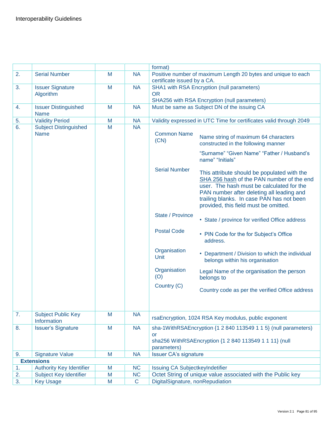|    |                                            |   |             | format)                                      |                                                                                                                                                                                                                                                                          |
|----|--------------------------------------------|---|-------------|----------------------------------------------|--------------------------------------------------------------------------------------------------------------------------------------------------------------------------------------------------------------------------------------------------------------------------|
| 2. | <b>Serial Number</b>                       | M | <b>NA</b>   |                                              | Positive number of maximum Length 20 bytes and unique to each                                                                                                                                                                                                            |
|    |                                            |   |             | certificate issued by a CA.                  |                                                                                                                                                                                                                                                                          |
| 3. | <b>Issuer Signature</b>                    | M | <b>NA</b>   |                                              | SHA1 with RSA Encryption (null parameters)                                                                                                                                                                                                                               |
|    | Algorithm                                  |   |             | <b>OR</b>                                    |                                                                                                                                                                                                                                                                          |
|    |                                            |   |             | SHA256 with RSA Encryption (null parameters) |                                                                                                                                                                                                                                                                          |
| 4. | <b>Issuer Distinguished</b><br><b>Name</b> | M | <b>NA</b>   |                                              | Must be same as Subject DN of the issuing CA                                                                                                                                                                                                                             |
| 5. | <b>Validity Period</b>                     | M | <b>NA</b>   |                                              | Validity expressed in UTC Time for certificates valid through 2049                                                                                                                                                                                                       |
| 6. | <b>Subject Distinguished</b>               | M | <b>NA</b>   |                                              |                                                                                                                                                                                                                                                                          |
|    | <b>Name</b>                                |   |             | <b>Common Name</b><br>(CN)                   | Name string of maximum 64 characters<br>constructed in the following manner                                                                                                                                                                                              |
|    |                                            |   |             |                                              | "Surname" "Given Name" "Father / Husband's<br>name" "Initials"                                                                                                                                                                                                           |
|    |                                            |   |             | <b>Serial Number</b>                         | This attribute should be populated with the<br>SHA 256 hash of the PAN number of the end<br>user. The hash must be calculated for the<br>PAN number after deleting all leading and<br>trailing blanks. In case PAN has not been<br>provided, this field must be omitted. |
|    |                                            |   |             | State / Province                             | • State / province for verified Office address                                                                                                                                                                                                                           |
|    |                                            |   |             | <b>Postal Code</b>                           | • PIN Code for the for Subject's Office<br>address.                                                                                                                                                                                                                      |
|    |                                            |   |             | Organisation<br>Unit                         | • Department / Division to which the individual<br>belongs within his organisation                                                                                                                                                                                       |
|    |                                            |   |             | Organisation<br>(O)                          | Legal Name of the organisation the person<br>belongs to                                                                                                                                                                                                                  |
|    |                                            |   |             | Country (C)                                  | Country code as per the verified Office address                                                                                                                                                                                                                          |
| 7. | <b>Subject Public Key</b><br>Information   | M | <b>NA</b>   |                                              | rsaEncryption, 1024 RSA Key modulus, public exponent                                                                                                                                                                                                                     |
| 8. | <b>Issuer's Signature</b>                  | M | <b>NA</b>   | <b>or</b><br>parameters)                     | sha-1WithRSAEncryption {1 2 840 113549 1 1 5} (null parameters)<br>sha256 WithRSAEncryption {1 2 840 113549 1 1 11} (null                                                                                                                                                |
| 9. | <b>Signature Value</b>                     | M | <b>NA</b>   | <b>Issuer CA's signature</b>                 |                                                                                                                                                                                                                                                                          |
|    | <b>Extensions</b>                          |   |             |                                              |                                                                                                                                                                                                                                                                          |
| 1. | <b>Authority Key Identifier</b>            | M | <b>NC</b>   | Issuing CA SubjectkeyIndetifier              |                                                                                                                                                                                                                                                                          |
| 2. | Subject Key Identifier                     | M | <b>NC</b>   |                                              | Octet String of unique value associated with the Public key                                                                                                                                                                                                              |
| 3. | <b>Key Usage</b>                           | M | $\mathbf C$ | DigitalSignature, nonRepudiation             |                                                                                                                                                                                                                                                                          |
|    |                                            |   |             |                                              |                                                                                                                                                                                                                                                                          |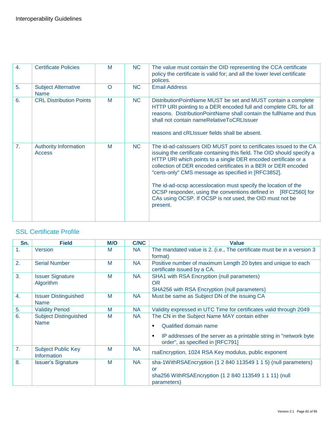| $\overline{4}$ . | <b>Certificate Policies</b>                   | M        | <b>NC</b>      | The value must contain the OID representing the CCA certificate<br>policy the certificate is valid for; and all the lower level certificate<br>polices.                                                                                                                                                                                                                                                                                                                                                                                               |
|------------------|-----------------------------------------------|----------|----------------|-------------------------------------------------------------------------------------------------------------------------------------------------------------------------------------------------------------------------------------------------------------------------------------------------------------------------------------------------------------------------------------------------------------------------------------------------------------------------------------------------------------------------------------------------------|
| 5.               | <b>Subject Alternative</b><br><b>Name</b>     | $\Omega$ | N <sub>C</sub> | <b>Email Address</b>                                                                                                                                                                                                                                                                                                                                                                                                                                                                                                                                  |
| 6.               | <b>CRL Distribution Points</b>                | M        | <b>NC</b>      | DistributionPointName MUST be set and MUST contain a complete<br>HTTP URI pointing to a DER encoded full and complete CRL for all<br>reasons. DistributionPointName shall contain the fullName and thus<br>shall not contain nameRelativeToCRLIssuer<br>reasons and cRLIssuer fields shall be absent.                                                                                                                                                                                                                                                 |
| 7 <sub>1</sub>   | <b>Authority Information</b><br><b>Access</b> | M        | NC.            | The id-ad-calssuers OID MUST point to certificates issued to the CA<br>issuing the certificate containing this field. The OID should specify a<br>HTTP URI which points to a single DER encoded certificate or a<br>collection of DER encoded certificates in a BER or DER encoded<br>"certs-only" CMS message as specified in [RFC3852].<br>The id-ad-ocsp accesslocation must specify the location of the<br>OCSP responder, using the conventions defined in [RFC2560] for<br>CAs using OCSP. If OCSP is not used, the OID must not be<br>present. |

### SSL Certificate Profile

| Sn.            | <b>Field</b>                                | M/O | <b>C/NC</b> | <b>Value</b>                                                                                                                                                                         |
|----------------|---------------------------------------------|-----|-------------|--------------------------------------------------------------------------------------------------------------------------------------------------------------------------------------|
| 1 <sub>1</sub> | <b>Version</b>                              | M   | <b>NA</b>   | The mandated value is 2. (i.e., The certificate must be in a version 3<br>format)                                                                                                    |
| 2.             | <b>Serial Number</b>                        | M   | <b>NA</b>   | Positive number of maximum Length 20 bytes and unique to each<br>certificate issued by a CA.                                                                                         |
| 3.             | <b>Issuer Signature</b><br>Algorithm        | M   | <b>NA</b>   | SHA1 with RSA Encryption (null parameters)<br><b>OR</b><br>SHA256 with RSA Encryption (null parameters)                                                                              |
| 4.             | <b>Issuer Distinguished</b><br><b>Name</b>  | M   | <b>NA</b>   | Must be same as Subject DN of the issuing CA                                                                                                                                         |
| 5.             | <b>Validity Period</b>                      | M   | <b>NA</b>   | Validity expressed in UTC Time for certificates valid through 2049                                                                                                                   |
| 6.             | <b>Subject Distinguished</b><br><b>Name</b> | M   | <b>NA</b>   | The CN in the Subject Name MAY contain either<br>Qualified domain name<br>IP addresses of the server as a printable string in "network byte<br>٠<br>order", as specified in [RFC791] |
| 7.             | <b>Subject Public Key</b><br>Information    | M   | <b>NA</b>   | rsaEncryption, 1024 RSA Key modulus, public exponent                                                                                                                                 |
| 8.             | <b>Issuer's Signature</b>                   | M   | <b>NA</b>   | sha-1WithRSAEncryption {1 2 840 113549 1 1 5} (null parameters)<br>or<br>sha256 WithRSAEncryption {1 2 840 113549 1 1 11} (null<br>parameters)                                       |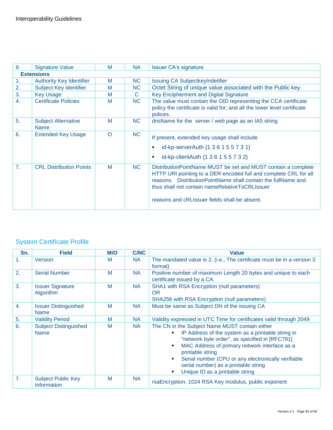| 9.             | <b>Signature Value</b>                    | M        | <b>NA</b> | <b>Issuer CA's signature</b>                                                                                                                                                                                                                                                                             |
|----------------|-------------------------------------------|----------|-----------|----------------------------------------------------------------------------------------------------------------------------------------------------------------------------------------------------------------------------------------------------------------------------------------------------------|
|                | <b>Extensions</b>                         |          |           |                                                                                                                                                                                                                                                                                                          |
| 1.             | <b>Authority Key Identifier</b>           | M        | <b>NC</b> | <b>Issuing CA SubjectkeyIndetifier</b>                                                                                                                                                                                                                                                                   |
| 2.             | Subject Key Identifier                    | M        | NC.       | Octet String of unique value associated with the Public key                                                                                                                                                                                                                                              |
| 3.             | <b>Key Usage</b>                          | M        | C         | <b>Key Encipherment and Digital Signature</b>                                                                                                                                                                                                                                                            |
| 4.             | <b>Certificate Policies</b>               | M        | <b>NC</b> | The value must contain the OID representing the CCA certificate<br>policy the certificate is valid for; and all the lower level certificate<br>polices.                                                                                                                                                  |
| 5.             | <b>Subject Alternative</b><br><b>Name</b> | M        | <b>NC</b> | dnsName for the server / web page as an IA5 string                                                                                                                                                                                                                                                       |
| 6.             | <b>Extended Key Usage</b>                 | $\Omega$ | <b>NC</b> | If present, extended key usage shall include<br>id-kp-serverAuth {1 3 6 1 5 5 7 3 1}<br>id-kp-clientAuth {1 3 6 1 5 5 7 3 2}<br>٠                                                                                                                                                                        |
| 7 <sub>1</sub> | <b>CRL Distribution Points</b>            | M        | NC.       | DistributionPointName MUST be set and MUST contain a complete<br>HTTP URI pointing to a DER encoded full and complete CRL for all<br>reasons. Distribution Point Name shall contain the full Name and<br>thus shall not contain nameRelativeToCRLIssuer<br>reasons and cRLIssuer fields shall be absent. |

### System Certificate Profile

| Sn.              | <b>Field</b>                                | <b>M/O</b> | <b>C/NC</b> | <b>Value</b>                                                                                                                                                                                                                                                                                                                                                 |
|------------------|---------------------------------------------|------------|-------------|--------------------------------------------------------------------------------------------------------------------------------------------------------------------------------------------------------------------------------------------------------------------------------------------------------------------------------------------------------------|
| $\mathbf{1}$ .   | Version                                     | M          | <b>NA</b>   | The mandated value is 2. (i.e., The certificate must be in a version 3<br>format)                                                                                                                                                                                                                                                                            |
| 2.               | <b>Serial Number</b>                        | M          | <b>NA</b>   | Positive number of maximum Length 20 bytes and unique to each<br>certificate issued by a CA.                                                                                                                                                                                                                                                                 |
| 3.               | <b>Issuer Signature</b><br>Algorithm        | M          | <b>NA</b>   | SHA1 with RSA Encryption (null parameters)<br><b>OR</b><br>SHA256 with RSA Encryption (null parameters)                                                                                                                                                                                                                                                      |
| $\overline{4}$ . | <b>Issuer Distinguished</b><br><b>Name</b>  | M          | <b>NA</b>   | Must be same as Subject DN of the issuing CA                                                                                                                                                                                                                                                                                                                 |
| 5.               | <b>Validity Period</b>                      | M          | <b>NA</b>   | Validity expressed in UTC Time for certificates valid through 2049                                                                                                                                                                                                                                                                                           |
| 6.               | <b>Subject Distinguished</b><br><b>Name</b> | M          | <b>NA</b>   | The CN in the Subject Name MUST contain either<br>IP Address of the system as a printable string in<br>"network byte order", as specified in [RFC791]<br>MAC Address of primary network interface as a<br>printable string<br>Serial number (CPU or any electronically verifiable<br>serial number) as a printable string<br>Unique ID as a printable string |
| 7 <sub>1</sub>   | <b>Subject Public Key</b><br>Information    | M          | <b>NA</b>   | rsaEncryption, 1024 RSA Key modulus, public exponent                                                                                                                                                                                                                                                                                                         |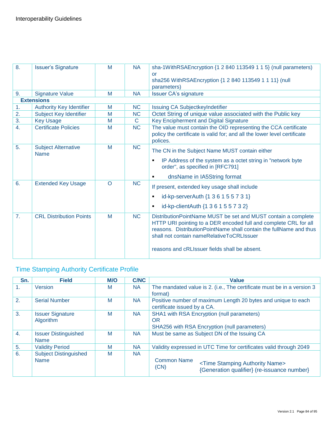| 8.               | <b>Issuer's Signature</b>                 | M        | <b>NA</b> | sha-1WithRSAEncryption {1 2 840 113549 1 1 5} (null parameters)<br>or<br>sha256 WithRSAEncryption {1 2 840 113549 1 1 11} (null<br>parameters)                                                                                                                                                           |
|------------------|-------------------------------------------|----------|-----------|----------------------------------------------------------------------------------------------------------------------------------------------------------------------------------------------------------------------------------------------------------------------------------------------------------|
| 9.               | <b>Signature Value</b>                    | M        | <b>NA</b> | <b>Issuer CA's signature</b>                                                                                                                                                                                                                                                                             |
|                  | <b>Extensions</b>                         |          |           |                                                                                                                                                                                                                                                                                                          |
| 1.               | <b>Authority Key Identifier</b>           | M        | <b>NC</b> | Issuing CA SubjectkeyIndetifier                                                                                                                                                                                                                                                                          |
| 2.               | Subject Key Identifier                    | M        | <b>NC</b> | Octet String of unique value associated with the Public key                                                                                                                                                                                                                                              |
| 3.               | <b>Key Usage</b>                          | M        | C.        | Key Encipherment and Digital Signature                                                                                                                                                                                                                                                                   |
| $\overline{4}$ . | <b>Certificate Policies</b>               | M        | <b>NC</b> | The value must contain the OID representing the CCA certificate<br>policy the certificate is valid for; and all the lower level certificate<br>polices.                                                                                                                                                  |
| 5.               | <b>Subject Alternative</b><br><b>Name</b> | M        | <b>NC</b> | The CN in the Subject Name MUST contain either<br>IP Address of the system as a octet string in "network byte"<br>٠<br>order", as specified in [RFC791]<br>dnsName in IA5String format<br>٠                                                                                                              |
| 6.               | <b>Extended Key Usage</b>                 | $\Omega$ | <b>NC</b> | If present, extended key usage shall include<br>id-kp-serverAuth {1 3 6 1 5 5 7 3 1}<br>٠<br>id-kp-clientAuth {1 3 6 1 5 5 7 3 2}<br>٠                                                                                                                                                                   |
| 7 <sub>1</sub>   | <b>CRL Distribution Points</b>            | M        | <b>NC</b> | DistributionPointName MUST be set and MUST contain a complete<br>HTTP URI pointing to a DER encoded full and complete CRL for all<br>reasons. Distribution Point Name shall contain the full Name and thus<br>shall not contain nameRelativeToCRLIssuer<br>reasons and cRLIssuer fields shall be absent. |

### Time Stamping Authority Certificate Profile

| Sn.              | <b>Field</b>                                | M/O | <b>C/NC</b> | <b>Value</b>                                                                                                                  |  |
|------------------|---------------------------------------------|-----|-------------|-------------------------------------------------------------------------------------------------------------------------------|--|
| 1.               | <b>Version</b>                              | M   | <b>NA</b>   | The mandated value is 2. (i.e., The certificate must be in a version 3<br>format)                                             |  |
| 2.               | <b>Serial Number</b>                        | M   | <b>NA</b>   | Positive number of maximum Length 20 bytes and unique to each<br>certificate issued by a CA.                                  |  |
| 3.               | <b>Issuer Signature</b><br>Algorithm        | M   | <b>NA</b>   | SHA1 with RSA Encryption (null parameters)<br><b>OR</b><br>SHA256 with RSA Encryption (null parameters)                       |  |
| $\overline{4}$ . | <b>Issuer Distinguished</b><br><b>Name</b>  | M   | <b>NA</b>   | Must be same as Subject DN of the Issuing CA                                                                                  |  |
| 5.               | <b>Validity Period</b>                      | M   | <b>NA</b>   | Validity expressed in UTC Time for certificates valid through 2049                                                            |  |
| 6.               | <b>Subject Distinguished</b><br><b>Name</b> | M   | <b>NA</b>   | <b>Common Name</b><br><time authority="" name="" stamping=""><br/>(CN)<br/>{Generation qualifier} (re-issuance number}</time> |  |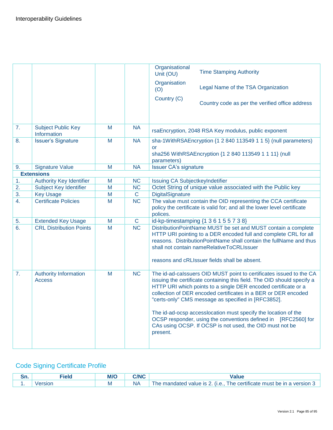|    |                                                 |   |              | Organisational<br><b>Time Stamping Authority</b><br>Unit (OU)                                                                                                                                                                                                                                                                                                                                                                                                                                                                                         |
|----|-------------------------------------------------|---|--------------|-------------------------------------------------------------------------------------------------------------------------------------------------------------------------------------------------------------------------------------------------------------------------------------------------------------------------------------------------------------------------------------------------------------------------------------------------------------------------------------------------------------------------------------------------------|
|    |                                                 |   |              | Organisation<br>Legal Name of the TSA Organization<br>(O)                                                                                                                                                                                                                                                                                                                                                                                                                                                                                             |
|    |                                                 |   |              | Country (C)<br>Country code as per the verified office address                                                                                                                                                                                                                                                                                                                                                                                                                                                                                        |
| 7. | <b>Subject Public Key</b><br><b>Information</b> | M | <b>NA</b>    | rsaEncryption, 2048 RSA Key modulus, public exponent                                                                                                                                                                                                                                                                                                                                                                                                                                                                                                  |
| 8. | <b>Issuer's Signature</b>                       | M | <b>NA</b>    | sha-1WithRSAEncryption {1 2 840 113549 1 1 5} (null parameters)<br><b>or</b><br>sha256 WithRSAEncryption {1 2 840 113549 1 1 11} (null<br>parameters)                                                                                                                                                                                                                                                                                                                                                                                                 |
| 9. | <b>Signature Value</b>                          | M | <b>NA</b>    | <b>Issuer CA's signature</b>                                                                                                                                                                                                                                                                                                                                                                                                                                                                                                                          |
|    | <b>Extensions</b>                               |   |              |                                                                                                                                                                                                                                                                                                                                                                                                                                                                                                                                                       |
| 1. | <b>Authority Key Identifier</b>                 | M | <b>NC</b>    | Issuing CA SubjectkeyIndetifier                                                                                                                                                                                                                                                                                                                                                                                                                                                                                                                       |
| 2. | <b>Subject Key Identifier</b>                   | M | <b>NC</b>    | Octet String of unique value associated with the Public key                                                                                                                                                                                                                                                                                                                                                                                                                                                                                           |
| 3. | <b>Key Usage</b>                                | M | $\mathbf C$  | DigitalSignature                                                                                                                                                                                                                                                                                                                                                                                                                                                                                                                                      |
| 4. | <b>Certificate Policies</b>                     | M | <b>NC</b>    | The value must contain the OID representing the CCA certificate<br>policy the certificate is valid for; and all the lower level certificate<br>polices.                                                                                                                                                                                                                                                                                                                                                                                               |
| 5. | <b>Extended Key Usage</b>                       | M | $\mathsf{C}$ | id-kp-timestamping {1 3 6 1 5 5 7 3 8}                                                                                                                                                                                                                                                                                                                                                                                                                                                                                                                |
| 6. | <b>CRL Distribution Points</b>                  | M | <b>NC</b>    | DistributionPointName MUST be set and MUST contain a complete<br>HTTP URI pointing to a DER encoded full and complete CRL for all<br>reasons. DistributionPointName shall contain the fullName and thus<br>shall not contain nameRelativeToCRLIssuer<br>reasons and cRLIssuer fields shall be absent.                                                                                                                                                                                                                                                 |
| 7. | <b>Authority Information</b><br><b>Access</b>   | M | <b>NC</b>    | The id-ad-calssuers OID MUST point to certificates issued to the CA<br>issuing the certificate containing this field. The OID should specify a<br>HTTP URI which points to a single DER encoded certificate or a<br>collection of DER encoded certificates in a BER or DER encoded<br>"certs-only" CMS message as specified in [RFC3852].<br>The id-ad-ocsp accesslocation must specify the location of the<br>OCSP responder, using the conventions defined in [RFC2560] for<br>CAs using OCSP. If OCSP is not used, the OID must not be<br>present. |

## Code Signing Certificate Profile

| --<br>ווט. |               | M/C | <b>MIC</b> |                                                                             |
|------------|---------------|-----|------------|-----------------------------------------------------------------------------|
|            | <b>Prsion</b> |     | ΝA         | ) mandated value is 2. (i.e., The certificate must be in a version '<br>ne. |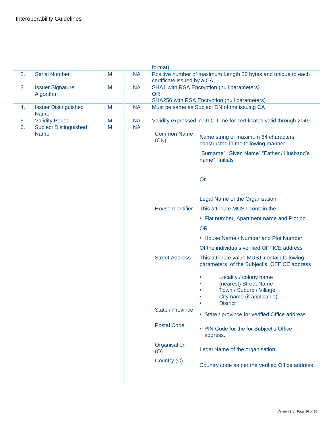|    |                                             |   |           | format)                     |                                                                                                                            |
|----|---------------------------------------------|---|-----------|-----------------------------|----------------------------------------------------------------------------------------------------------------------------|
| 2. | <b>Serial Number</b>                        | M | <b>NA</b> | certificate issued by a CA. | Positive number of maximum Length 20 bytes and unique to each                                                              |
| 3. | <b>Issuer Signature</b><br>Algorithm        | M | <b>NA</b> | <b>OR</b>                   | SHA1 with RSA Encryption (null parameters)                                                                                 |
|    |                                             |   |           |                             | SHA256 with RSA Encryption (null parameters)                                                                               |
| 4. | <b>Issuer Distinguished</b><br><b>Name</b>  | M | <b>NA</b> |                             | Must be same as Subject DN of the issuing CA                                                                               |
| 5. | <b>Validity Period</b>                      | M | <b>NA</b> |                             | Validity expressed in UTC Time for certificates valid through 2049                                                         |
| 6. | <b>Subject Distinguished</b><br><b>Name</b> | M | <b>NA</b> | <b>Common Name</b><br>(CN)  | Name string of maximum 64 characters<br>constructed in the following manner                                                |
|    |                                             |   |           |                             | "Surname" "Given Name" "Father / Husband's<br>name" "Initials"                                                             |
|    |                                             |   |           |                             | Or                                                                                                                         |
|    |                                             |   |           |                             | Legal Name of the Organisation                                                                                             |
|    |                                             |   |           | <b>House Identifier</b>     | This attribute MUST contain the                                                                                            |
|    |                                             |   |           |                             | • Flat number, Apartment name and Plot no.                                                                                 |
|    |                                             |   |           |                             | <b>OR</b>                                                                                                                  |
|    |                                             |   |           |                             | • House Name / Number and Plot Number                                                                                      |
|    |                                             |   |           |                             | Of the individuals verified OFFICE address                                                                                 |
|    |                                             |   |           | <b>Street Address</b>       | This attribute value MUST contain following<br>parameters of the Subject's OFFICE address                                  |
|    |                                             |   |           |                             | Locality / colony name<br>(nearest) Street Name<br>Town / Suburb / Village<br>City name (if applicable)<br><b>District</b> |
|    |                                             |   |           | State / Province            | • State / province for verified Office address                                                                             |
|    |                                             |   |           | <b>Postal Code</b>          | • PIN Code for the for Subject's Office<br>address.                                                                        |
|    |                                             |   |           | Organisation<br>(O)         | Legal Name of the organisation                                                                                             |
|    |                                             |   |           | Country (C)                 | Country code as per the verified Office address                                                                            |
|    |                                             |   |           |                             |                                                                                                                            |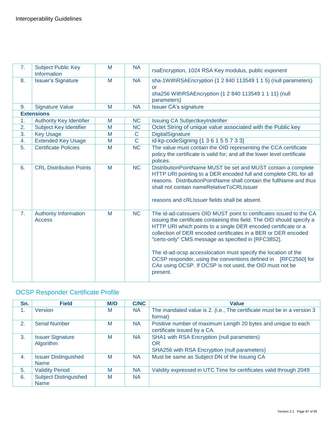| 7. | <b>Subject Public Key</b><br>Information      | M | <b>NA</b>      | rsaEncryption, 1024 RSA Key modulus, public exponent                                                                                                                                                                                                                                                                                                                                                                                                                                                                                                  |
|----|-----------------------------------------------|---|----------------|-------------------------------------------------------------------------------------------------------------------------------------------------------------------------------------------------------------------------------------------------------------------------------------------------------------------------------------------------------------------------------------------------------------------------------------------------------------------------------------------------------------------------------------------------------|
| 8. | <b>Issuer's Signature</b>                     | M | <b>NA</b>      | sha-1WithRSAEncryption {1 2 840 113549 1 1 5} (null parameters)<br><u>or</u><br>sha256 WithRSAEncryption {1 2 840 113549 1 1 11} (null<br>parameters)                                                                                                                                                                                                                                                                                                                                                                                                 |
| 9. | <b>Signature Value</b>                        | M | <b>NA</b>      | <b>Issuer CA's signature</b>                                                                                                                                                                                                                                                                                                                                                                                                                                                                                                                          |
|    | <b>Extensions</b>                             |   |                |                                                                                                                                                                                                                                                                                                                                                                                                                                                                                                                                                       |
| 1. | <b>Authority Key Identifier</b>               | M | <b>NC</b>      | <b>Issuing CA SubjectkeyIndetifier</b>                                                                                                                                                                                                                                                                                                                                                                                                                                                                                                                |
| 2. | Subject Key Identifier                        | M | <b>NC</b>      | Octet String of unique value associated with the Public key                                                                                                                                                                                                                                                                                                                                                                                                                                                                                           |
| 3. | <b>Key Usage</b>                              | M | $\mathsf{C}$   | DigitalSignature                                                                                                                                                                                                                                                                                                                                                                                                                                                                                                                                      |
| 4. | <b>Extended Key Usage</b>                     | M | $\overline{C}$ | id-kp-codeSigning {1 3 6 1 5 5 7 3 3}                                                                                                                                                                                                                                                                                                                                                                                                                                                                                                                 |
| 5. | <b>Certificate Policies</b>                   | M | <b>NC</b>      | The value must contain the OID representing the CCA certificate<br>policy the certificate is valid for; and all the lower level certificate<br>polices.                                                                                                                                                                                                                                                                                                                                                                                               |
| 6. | <b>CRL Distribution Points</b>                | M | <b>NC</b>      | DistributionPointName MUST be set and MUST contain a complete<br>HTTP URI pointing to a DER encoded full and complete CRL for all<br>reasons. Distribution Point Name shall contain the full Name and thus<br>shall not contain nameRelativeToCRLIssuer<br>reasons and cRLIssuer fields shall be absent.                                                                                                                                                                                                                                              |
| 7. | <b>Authority Information</b><br><b>Access</b> | M | <b>NC</b>      | The id-ad-calssuers OID MUST point to certificates issued to the CA<br>issuing the certificate containing this field. The OID should specify a<br>HTTP URI which points to a single DER encoded certificate or a<br>collection of DER encoded certificates in a BER or DER encoded<br>"certs-only" CMS message as specified in [RFC3852].<br>The id-ad-ocsp accesslocation must specify the location of the<br>OCSP responder, using the conventions defined in [RFC2560] for<br>CAs using OCSP. If OCSP is not used, the OID must not be<br>present. |

## OCSP Responder Certificate Profile

| Sn. | <b>Field</b>                                | <b>M/O</b> | <b>C/NC</b> | Value                                                                                            |
|-----|---------------------------------------------|------------|-------------|--------------------------------------------------------------------------------------------------|
| 1.  | Version                                     | M          | <b>NA</b>   | The mandated value is 2. (i.e., The certificate must be in a version 3<br>format)                |
| 2.  | <b>Serial Number</b>                        | M          | <b>NA</b>   | Positive number of maximum Length 20 bytes and unique to each<br>certificate issued by a CA.     |
| 3.  | <b>Issuer Signature</b><br>Algorithm        | M          | <b>NA</b>   | SHA1 with RSA Encryption (null parameters)<br>OR<br>SHA256 with RSA Encryption (null parameters) |
| 4.  | <b>Issuer Distinguished</b><br><b>Name</b>  | M          | NA.         | Must be same as Subject DN of the Issuing CA                                                     |
| 5.  | <b>Validity Period</b>                      | M          | <b>NA</b>   | Validity expressed in UTC Time for certificates valid through 2049                               |
| 6.  | <b>Subject Distinguished</b><br><b>Name</b> | M          | <b>NA</b>   |                                                                                                  |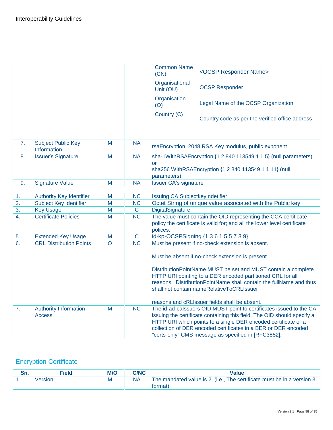|                  |                                               |                |                       | <b>Common Name</b><br>(CN)             | <ocsp name="" responder=""></ocsp>                                                                                                                                                                                                                                                                                                        |
|------------------|-----------------------------------------------|----------------|-----------------------|----------------------------------------|-------------------------------------------------------------------------------------------------------------------------------------------------------------------------------------------------------------------------------------------------------------------------------------------------------------------------------------------|
|                  |                                               |                |                       | Organisational<br>Unit (OU)            | <b>OCSP Responder</b>                                                                                                                                                                                                                                                                                                                     |
|                  |                                               |                |                       | Organisation<br>(O)                    | Legal Name of the OCSP Organization                                                                                                                                                                                                                                                                                                       |
|                  |                                               |                |                       | Country (C)                            | Country code as per the verified office address                                                                                                                                                                                                                                                                                           |
| 7.               | <b>Subject Public Key</b><br>Information      | M              | <b>NA</b>             |                                        | rsaEncryption, 2048 RSA Key modulus, public exponent                                                                                                                                                                                                                                                                                      |
| 8.               | <b>Issuer's Signature</b>                     | M              | <b>NA</b>             | <b>or</b><br>parameters)               | sha-1WithRSAEncryption {1 2 840 113549 1 1 5} (null parameters)<br>sha256 WithRSAEncryption {1 2 840 113549 1 1 11} (null                                                                                                                                                                                                                 |
| 9.               | <b>Signature Value</b>                        | M              | <b>NA</b>             | <b>Issuer CA's signature</b>           |                                                                                                                                                                                                                                                                                                                                           |
|                  |                                               |                |                       |                                        |                                                                                                                                                                                                                                                                                                                                           |
| 1.               | <b>Authority Key Identifier</b>               | M              | <b>NC</b>             | <b>Issuing CA SubjectkeyIndetifier</b> |                                                                                                                                                                                                                                                                                                                                           |
| 2.               | <b>Subject Key Identifier</b>                 | M              | <b>NC</b>             |                                        | Octet String of unique value associated with the Public key                                                                                                                                                                                                                                                                               |
| $\overline{3}$ . | <b>Key Usage</b>                              | $\overline{M}$ | $\overline{\text{C}}$ | <b>DigitalSignature</b>                |                                                                                                                                                                                                                                                                                                                                           |
| 4.               | <b>Certificate Policies</b>                   | M              | <b>NC</b>             | polices.                               | The value must contain the OID representing the CCA certificate<br>policy the certificate is valid for; and all the lower level certificate                                                                                                                                                                                               |
| 5.               | <b>Extended Key Usage</b>                     | M              | $\mathbf C$           |                                        | id-kp-OCSPSigning {1 3 6 1 5 5 7 3 9}                                                                                                                                                                                                                                                                                                     |
| 6.               | <b>CRL Distribution Points</b>                | O              | <b>NC</b>             |                                        | Must be present if no-check extension is absent.                                                                                                                                                                                                                                                                                          |
|                  |                                               |                |                       |                                        | Must be absent if no-check extension is present.                                                                                                                                                                                                                                                                                          |
|                  |                                               |                |                       |                                        | DistributionPointName MUST be set and MUST contain a complete<br>HTTP URI pointing to a DER encoded partitioned CRL for all<br>reasons. DistributionPointName shall contain the fullName and thus<br>shall not contain nameRelativeToCRLIssuer                                                                                            |
|                  |                                               |                |                       |                                        | reasons and cRLIssuer fields shall be absent.                                                                                                                                                                                                                                                                                             |
| 7.               | <b>Authority Information</b><br><b>Access</b> | M              | <b>NC</b>             |                                        | The id-ad-calssuers OID MUST point to certificates issued to the CA<br>issuing the certificate containing this field. The OID should specify a<br>HTTP URI which points to a single DER encoded certificate or a<br>collection of DER encoded certificates in a BER or DER encoded<br>"certs-only" CMS message as specified in [RFC3852]. |

### Encryption Certificate

| г.<br>JII. | Field   | M/O | <b>C/NC</b> | <b>Value</b>                                                           |
|------------|---------|-----|-------------|------------------------------------------------------------------------|
|            | √ersion |     |             | The mandated value is 2. (i.e., The certificate must be in a version 3 |
|            |         |     |             | (format)                                                               |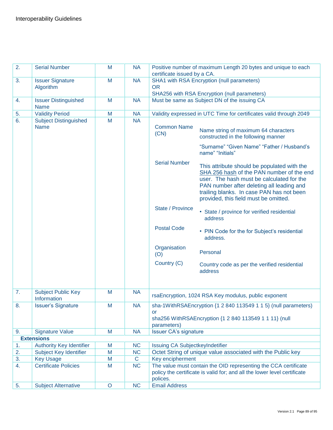| 2. | <b>Serial Number</b>                        | M       | <b>NA</b>    | certificate issued by a CA.            | Positive number of maximum Length 20 bytes and unique to each                                                                                                                                                                                                            |
|----|---------------------------------------------|---------|--------------|----------------------------------------|--------------------------------------------------------------------------------------------------------------------------------------------------------------------------------------------------------------------------------------------------------------------------|
| 3. | <b>Issuer Signature</b><br>Algorithm        | M       | <b>NA</b>    | <b>OR</b>                              | SHA1 with RSA Encryption (null parameters)                                                                                                                                                                                                                               |
|    |                                             |         |              |                                        | SHA256 with RSA Encryption (null parameters)                                                                                                                                                                                                                             |
| 4. | <b>Issuer Distinguished</b><br><b>Name</b>  | M       | <b>NA</b>    |                                        | Must be same as Subject DN of the issuing CA                                                                                                                                                                                                                             |
| 5. | <b>Validity Period</b>                      | M       | <b>NA</b>    |                                        | Validity expressed in UTC Time for certificates valid through 2049                                                                                                                                                                                                       |
| 6. | <b>Subject Distinguished</b><br><b>Name</b> | M       | <b>NA</b>    | <b>Common Name</b><br>(CN)             | Name string of maximum 64 characters<br>constructed in the following manner<br>"Surname" "Given Name" "Father / Husband's<br>name" "Initials"                                                                                                                            |
|    |                                             |         |              | <b>Serial Number</b>                   | This attribute should be populated with the<br>SHA 256 hash of the PAN number of the end<br>user. The hash must be calculated for the<br>PAN number after deleting all leading and<br>trailing blanks. In case PAN has not been<br>provided, this field must be omitted. |
|    |                                             |         |              | State / Province                       | • State / province for verified residential<br>address                                                                                                                                                                                                                   |
|    |                                             |         |              | <b>Postal Code</b>                     | • PIN Code for the for Subject's residential<br>address.                                                                                                                                                                                                                 |
|    |                                             |         |              | Organisation<br>(O)                    | Personal                                                                                                                                                                                                                                                                 |
|    |                                             |         |              | Country (C)                            | Country code as per the verified residential<br>address                                                                                                                                                                                                                  |
|    |                                             |         |              |                                        |                                                                                                                                                                                                                                                                          |
| 7. | <b>Subject Public Key</b><br>Information    | M       | <b>NA</b>    |                                        | rsaEncryption, 1024 RSA Key modulus, public exponent                                                                                                                                                                                                                     |
| 8. | <b>Issuer's Signature</b>                   | M       | <b>NA</b>    | or                                     | sha-1WithRSAEncryption {1 2 840 113549 1 1 5} (null parameters)<br>sha256 WithRSAEncryption {1 2 840 113549 1 1 11} (null                                                                                                                                                |
|    |                                             |         |              | parameters)                            |                                                                                                                                                                                                                                                                          |
| 9. | <b>Signature Value</b>                      | M       | <b>NA</b>    | <b>Issuer CA's signature</b>           |                                                                                                                                                                                                                                                                          |
|    | <b>Extensions</b>                           |         |              |                                        |                                                                                                                                                                                                                                                                          |
| 1. | <b>Authority Key Identifier</b>             | M       | <b>NC</b>    | <b>Issuing CA SubjectkeyIndetifier</b> |                                                                                                                                                                                                                                                                          |
| 2. | <b>Subject Key Identifier</b>               | M       | NC           |                                        | Octet String of unique value associated with the Public key                                                                                                                                                                                                              |
| 3. | <b>Key Usage</b>                            | M       | $\mathsf{C}$ | Key encipherment                       |                                                                                                                                                                                                                                                                          |
| 4. | <b>Certificate Policies</b>                 | M       | <b>NC</b>    | polices.                               | The value must contain the OID representing the CCA certificate<br>policy the certificate is valid for; and all the lower level certificate                                                                                                                              |
| 5. | <b>Subject Alternative</b>                  | $\circ$ | <b>NC</b>    | <b>Email Address</b>                   |                                                                                                                                                                                                                                                                          |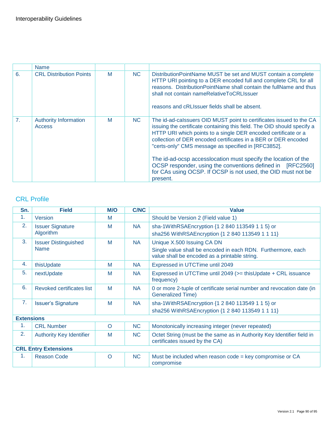|                | <b>Name</b>                                   |   |     |                                                                                                                                                                                                                                                                                                                                                                                                                                                                                                                                                       |
|----------------|-----------------------------------------------|---|-----|-------------------------------------------------------------------------------------------------------------------------------------------------------------------------------------------------------------------------------------------------------------------------------------------------------------------------------------------------------------------------------------------------------------------------------------------------------------------------------------------------------------------------------------------------------|
| 6.             | <b>CRL Distribution Points</b>                | M | NC. | DistributionPointName MUST be set and MUST contain a complete<br>HTTP URI pointing to a DER encoded full and complete CRL for all<br>reasons. Distribution Point Name shall contain the full Name and thus<br>shall not contain nameRelativeToCRLIssuer<br>reasons and cRLIssuer fields shall be absent.                                                                                                                                                                                                                                              |
| 7 <sub>1</sub> | <b>Authority Information</b><br><b>Access</b> | M | NC. | The id-ad-calssuers OID MUST point to certificates issued to the CA<br>issuing the certificate containing this field. The OID should specify a<br>HTTP URI which points to a single DER encoded certificate or a<br>collection of DER encoded certificates in a BER or DER encoded<br>"certs-only" CMS message as specified in [RFC3852].<br>The id-ad-ocsp accesslocation must specify the location of the<br>OCSP responder, using the conventions defined in [RFC2560]<br>for CAs using OCSP. If OCSP is not used, the OID must not be<br>present. |

### CRL Profile

| Sn.                         | <b>Field</b>                               | M/O     | <b>C/NC</b> | <b>Value</b>                                                                                                                                |
|-----------------------------|--------------------------------------------|---------|-------------|---------------------------------------------------------------------------------------------------------------------------------------------|
| 1.                          | Version                                    | M       |             | Should be Version 2 (Field value 1)                                                                                                         |
| 2.                          | <b>Issuer Signature</b><br>Algorithm       | M       | NA.         | sha-1WithRSAEncryption {1 2 840 113549 1 1 5} or<br>sha256 WithRSAEncryption {1 2 840 113549 1 1 11}                                        |
| 3.                          | <b>Issuer Distinguished</b><br><b>Name</b> | M       | <b>NA</b>   | Unique X.500 Issuing CA DN<br>Single value shall be encoded in each RDN. Furthermore, each<br>value shall be encoded as a printable string. |
| 4.                          | thisUpdate                                 | M       | <b>NA</b>   | Expressed in UTCTime until 2049                                                                                                             |
| 5.                          | nextUpdate                                 | M       | <b>NA</b>   | Expressed in UTCTime until 2049 (>= thisUpdate + CRL issuance<br>frequency)                                                                 |
| 6.                          | Revoked certificates list                  | M       | <b>NA</b>   | 0 or more 2-tuple of certificate serial number and revocation date (in<br><b>Generalized Time)</b>                                          |
| 7.                          | <b>Issuer's Signature</b>                  | M       | <b>NA</b>   | sha-1WithRSAEncryption {1 2 840 113549 1 1 5} or<br>sha256 WithRSAEncryption {1 2 840 113549 1 1 11}                                        |
| <b>Extensions</b>           |                                            |         |             |                                                                                                                                             |
| 1.                          | <b>CRL Number</b>                          | $\circ$ | <b>NC</b>   | Monotonically increasing integer (never repeated)                                                                                           |
| 2.                          | <b>Authority Key Identifier</b>            | M       | <b>NC</b>   | Octet String (must be the same as in Authority Key Identifier field in<br>certificates issued by the CA)                                    |
| <b>CRL Entry Extensions</b> |                                            |         |             |                                                                                                                                             |
| 1.                          | <b>Reason Code</b>                         | $\circ$ | <b>NC</b>   | Must be included when reason $code = key compromise$ or $CA$<br>compromise                                                                  |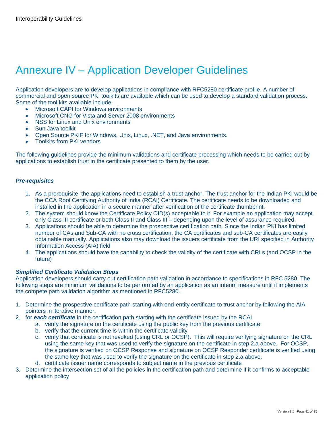# Annexure IV – Application Developer Guidelines

Application developers are to develop applications in compliance with RFC5280 certificate profile. A number of commercial and open source PKI toolkits are available which can be used to develop a standard validation process. Some of the tool kits available include

- Microsoft CAPI for Windows environments
- Microsoft CNG for Vista and Server 2008 environments
- NSS for Linux and Unix environments
- Sun Java toolkit
- Open Source PKIF for Windows, Unix, Linux, .NET, and Java environments.
- Toolkits from PKI vendors

The following guidelines provide the minimum validations and certificate processing which needs to be carried out by applications to establish trust in the certificate presented to them by the user.

#### *Pre-requisites*

- 1. As a prerequisite, the applications need to establish a trust anchor. The trust anchor for the Indian PKI would be the CCA Root Certifying Authority of India (RCAI) Certificate. The certificate needs to be downloaded and installed in the application in a secure manner after verification of the certificate thumbprint.
- 2. The system should know the Certificate Policy OID(s) acceptable to it. For example an application may accept only Class III certificate or both Class II and Class III – depending upon the level of assurance required.
- 3. Applications should be able to determine the prospective certification path. Since the Indian PKI has limited number of CAs and Sub-CA with no cross certification, the CA certificates and sub-CA certificates are easily obtainable manually. Applications also may download the issuers certificate from the URI specified in Authority Information Access (AIA) field
- 4. The applications should have the capability to check the validity of the certificate with CRLs (and OCSP in the future)

#### *Simplified Certificate Validation Steps*

Application developers should carry out certification path validation in accordance to specifications in RFC 5280. The following steps are minimum validations to be performed by an application as an interim measure until it implements the compete path validation algorithm as mentioned in RFC5280.

- 1. Determine the prospective certificate path starting with end-entity certificate to trust anchor by following the AIA pointers in iterative manner.
- 2. for *each certificate* in the certification path starting with the certificate issued by the RCAI
	- a. verify the signature on the certificate using the public key from the previous certificate
	- b. verify that the current time is within the certificate validity
	- c. verify that certificate is not revoked (using CRL or OCSP). This will require verifying signature on the CRL using the same key that was used to verify the signature on the certificate in step 2.a above. For OCSP, the signature is verified on OCSP Response and signature on OCSP Responder certificate is verified using the same key that was used to verify the signature on the certificate in step 2.a above.
	- d. certificate issuer name corresponds to subject name in the previous certificate
- 3. Determine the intersection set of all the policies in the certification path and determine if it confirms to acceptable application policy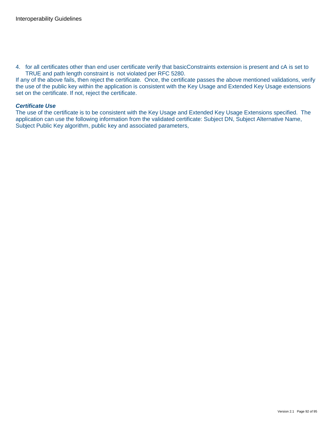4. for all certificates other than end user certificate verify that basicConstraints extension is present and cA is set to TRUE and path length constraint is not violated per RFC 5280.

If any of the above fails, then reject the certificate. Once, the certificate passes the above mentioned validations, verify the use of the public key within the application is consistent with the Key Usage and Extended Key Usage extensions set on the certificate. If not, reject the certificate.

#### *Certificate Use*

The use of the certificate is to be consistent with the Key Usage and Extended Key Usage Extensions specified. The application can use the following information from the validated certificate: Subject DN, Subject Alternative Name, Subject Public Key algorithm, public key and associated parameters,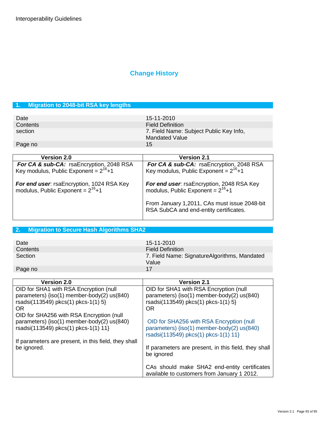## **Change History**

### **1. Migration to 2048-bit RSA key lengths**

| Date     | 15-11-2010                                                |
|----------|-----------------------------------------------------------|
| Contents | <b>Field Definition</b>                                   |
| section  | 7. Field Name: Subject Public Key Info,<br>Mandated Value |
| Page no  | 15                                                        |

| Version 2.0                                                                                      | <b>Version 2.1</b>                                                                               |
|--------------------------------------------------------------------------------------------------|--------------------------------------------------------------------------------------------------|
| <b>For CA &amp; sub-CA:</b> rsaEncryption, 2048 RSA<br>Key modulus, Public Exponent = $2^{16}+1$ | <b>For CA &amp; sub-CA:</b> rsaEncryption, 2048 RSA<br>Key modulus, Public Exponent = $2^{16}+1$ |
| For end user: rsaEncryption, 1024 RSA Key<br>modulus, Public Exponent = $2^{16}+1$               | For end user: rsaEncryption, 2048 RSA Key modulus, Public Exponent = $2^{16}+1$                  |
|                                                                                                  | From January 1,2011, CAs must issue 2048-bit<br>RSA SubCA and end-entity certificates.           |

### **2. Migration to Secure Hash Algorithms SHA2**

| Date     | 15-11-2010                                            |
|----------|-------------------------------------------------------|
| Contents | <b>Field Definition</b>                               |
| Section  | 7. Field Name: SignatureAlgorithms, Mandated<br>Value |
| Page no  | 17                                                    |

| <b>Version 2.0</b>                                   | <b>Version 2.1</b>                                   |
|------------------------------------------------------|------------------------------------------------------|
| OID for SHA1 with RSA Encryption (null               | OID for SHA1 with RSA Encryption (null               |
| parameters) {iso(1) member-body(2) us(840)           | parameters) {iso(1) member-body(2) us(840)           |
| rsadsi(113549) pkcs(1) pkcs-1(1) 5}                  | rsadsi(113549) pkcs(1) pkcs-1(1) 5}                  |
| OR.                                                  | <b>OR</b>                                            |
| OID for SHA256 with RSA Encryption (null             |                                                      |
| parameters) {iso(1) member-body(2) us(840)           | OID for SHA256 with RSA Encryption (null             |
| rsadsi(113549) pkcs(1) pkcs-1(1) 11}                 | parameters) {iso(1) member-body(2) us(840)           |
|                                                      | rsadsi(113549) pkcs(1) pkcs-1(1) 11}                 |
| If parameters are present, in this field, they shall |                                                      |
| be ignored.                                          | If parameters are present, in this field, they shall |
|                                                      | be ignored                                           |
|                                                      |                                                      |
|                                                      | CAs should make SHA2 end-entity certificates         |
|                                                      | available to customers from January 1 2012.          |